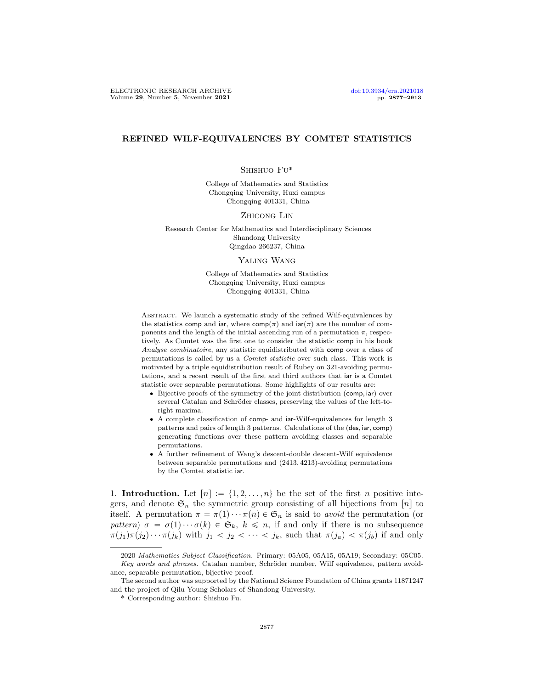# REFINED WILF-EQUIVALENCES BY COMTET STATISTICS

#### Shishuo Fu˚

College of Mathematics and Statistics Chongqing University, Huxi campus Chongqing 401331, China

#### ZHICONG LIN

Research Center for Mathematics and Interdisciplinary Sciences Shandong University Qingdao 266237, China

#### YALING WANG

College of Mathematics and Statistics Chongqing University, Huxi campus Chongqing 401331, China

ABSTRACT. We launch a systematic study of the refined Wilf-equivalences by the statistics comp and iar, where  $\text{comp}(\pi)$  and  $\text{iar}(\pi)$  are the number of components and the length of the initial ascending run of a permutation  $\pi$ , respectively. As Comtet was the first one to consider the statistic comp in his book Analyse combinatoire, any statistic equidistributed with comp over a class of permutations is called by us a *Comtet statistic* over such class. This work is motivated by a triple equidistribution result of Rubey on 321-avoiding permutations, and a recent result of the first and third authors that iar is a Comtet statistic over separable permutations. Some highlights of our results are:

- $\bullet$  Bijective proofs of the symmetry of the joint distribution (comp, iar) over several Catalan and Schröder classes, preserving the values of the left-toright maxima.
- ' A complete classification of comp- and iar-Wilf-equivalences for length 3 patterns and pairs of length 3 patterns. Calculations of the  $(\text{des}, \text{iar}, \text{comp})$ generating functions over these pattern avoiding classes and separable permutations.
- ' A further refinement of Wang's descent-double descent-Wilf equivalence between separable permutations and  $(2413, 4213)$ -avoiding permutations by the Comtet statistic iar.

1. Introduction. Let  $[n] := \{1, 2, \ldots, n\}$  be the set of the first n positive integers, and denote  $\mathfrak{S}_n$  the symmetric group consisting of all bijections from [n] to itself. A permutation  $\pi = \pi(1) \cdots \pi(n) \in \mathfrak{S}_n$  is said to avoid the permutation (or pattern)  $\sigma = \sigma(1) \cdots \sigma(k) \in \mathfrak{S}_k$ ,  $k \leq n$ , if and only if there is no subsequence  $\pi(j_1)\pi(j_2)\cdots\pi(j_k)$  with  $j_1 < j_2 < \cdots < j_k$ , such that  $\pi(j_a) < \pi(j_b)$  if and only

<sup>2020</sup> Mathematics Subject Classification. Primary: 05A05, 05A15, 05A19; Secondary: 05C05. Key words and phrases. Catalan number, Schröder number, Wilf equivalence, pattern avoidance, separable permutation, bijective proof.

The second author was supported by the National Science Foundation of China grants 11871247 and the project of Qilu Young Scholars of Shandong University.

<sup>˚</sup> Corresponding author: Shishuo Fu.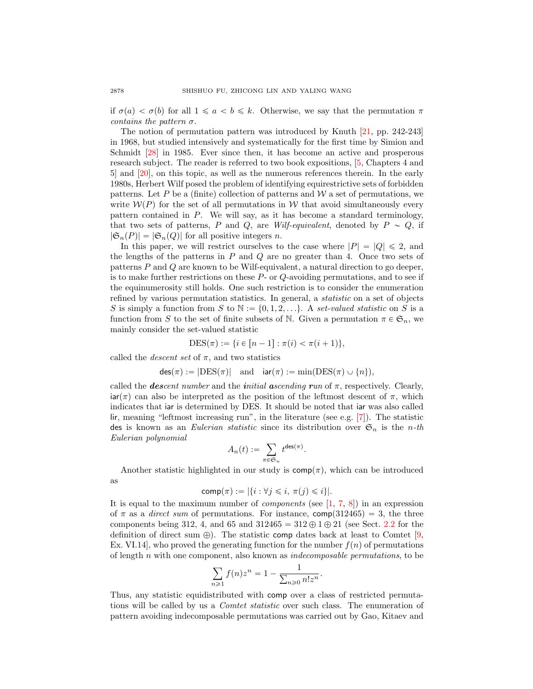if  $\sigma(a) < \sigma(b)$  for all  $1 \leq a < b \leq k$ . Otherwise, we say that the permutation  $\pi$ contains the pattern  $\sigma$ .

The notion of permutation pattern was introduced by Knuth [\[21,](#page-36-0) pp. 242-243] in 1968, but studied intensively and systematically for the first time by Simion and Schmidt [\[28\]](#page-36-1) in 1985. Ever since then, it has become an active and prosperous research subject. The reader is referred to two book expositions, [\[5,](#page-35-0) Chapters 4 and 5] and [\[20\]](#page-36-2), on this topic, as well as the numerous references therein. In the early 1980s, Herbert Wilf posed the problem of identifying equirestrictive sets of forbidden patterns. Let P be a (finite) collection of patterns and  $W$  a set of permutations, we write  $W(P)$  for the set of all permutations in W that avoid simultaneously every pattern contained in P. We will say, as it has become a standard terminology, that two sets of patterns, P and Q, are Wilf-equivalent, denoted by  $P \sim Q$ , if  $|\mathfrak{S}_n(P)| = |\mathfrak{S}_n(Q)|$  for all positive integers n.

In this paper, we will restrict ourselves to the case where  $|P| = |Q| \le 2$ , and the lengths of the patterns in  $P$  and  $Q$  are no greater than 4. Once two sets of patterns P and Q are known to be Wilf-equivalent, a natural direction to go deeper, is to make further restrictions on these P- or Q-avoiding permutations, and to see if the equinumerosity still holds. One such restriction is to consider the enumeration refined by various permutation statistics. In general, a statistic on a set of objects S is simply a function from S to  $\mathbb{N} := \{0, 1, 2, \ldots\}$ . A set-valued statistic on S is a function from S to the set of finite subsets of N. Given a permutation  $\pi \in \mathfrak{S}_n$ , we mainly consider the set-valued statistic

$$
DES(\pi) := \{ i \in [n-1] : \pi(i) < \pi(i+1) \},
$$

called the *descent set* of  $\pi$ , and two statistics

 $des(\pi) := |DES(\pi)|$  and  $iar(\pi) := min(DES(\pi) \cup \{n\}),$ 

called the **descent number and the initial ascending run of**  $\pi$ , respectively. Clearly,  $\arctan(\pi)$  can also be interpreted as the position of the leftmost descent of  $\pi$ , which indicates that iar is determined by DES. It should be noted that iar was also called lir, meaning "leftmost increasing run", in the literature (see e.g. [\[7\]](#page-35-1)). The statistic des is known as an *Eulerian statistic* since its distribution over  $\mathfrak{S}_n$  is the *n*-th Eulerian polynomial

$$
A_n(t):=\sum_{\pi\in\mathfrak{S}_n}t^{{\rm des}(\pi)}.
$$

Another statistic highlighted in our study is  $\mathsf{comp}(\pi)$ , which can be introduced as

$$
comp(\pi) := |\{i : \forall j \leq i, \pi(j) \leq i\}|.
$$

It is equal to the maximum number of *components* (see  $[1, 7, 8]$  $[1, 7, 8]$  $[1, 7, 8]$  $[1, 7, 8]$ ) in an expression of  $\pi$  as a *direct sum* of permutations. For instance,  $comp(312465) = 3$ , the three components being 312, 4, and 65 and 312465  $= 312 \oplus 1 \oplus 21$  (see Sect. [2.2](#page-6-0) for the definition of direct sum  $\oplus$ ). The statistic comp dates back at least to Comtet [\[9,](#page-36-3) Ex. VI.14], who proved the generating function for the number  $f(n)$  of permutations of length n with one component, also known as indecomposable permutations, to be

$$
\sum_{n\geqslant 1} f(n)z^n = 1 - \frac{1}{\sum_{n\geqslant 0} n!z^n}.
$$

Thus, any statistic equidistributed with comp over a class of restricted permutations will be called by us a *Comtet statistic* over such class. The enumeration of pattern avoiding indecomposable permutations was carried out by Gao, Kitaev and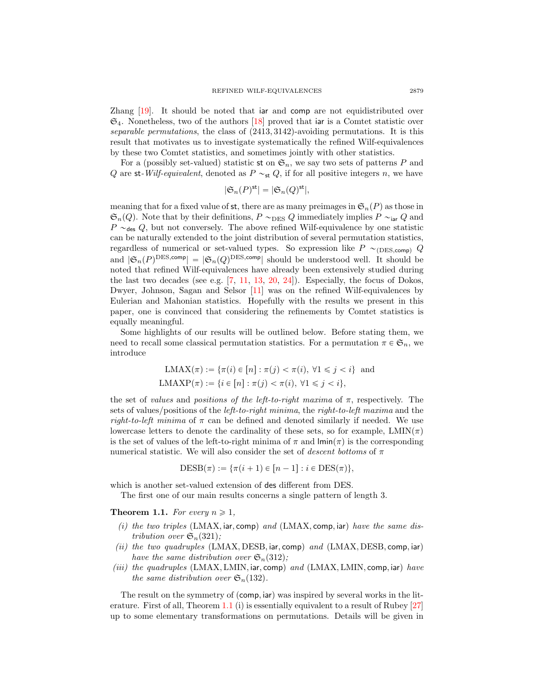Zhang [\[19\]](#page-36-4). It should be noted that iar and comp are not equidistributed over  $\mathfrak{S}_4$ . Nonetheless, two of the authors [\[18\]](#page-36-5) proved that iar is a Comtet statistic over separable permutations, the class of  $(2413, 3142)$ -avoiding permutations. It is this result that motivates us to investigate systematically the refined Wilf-equivalences by these two Comtet statistics, and sometimes jointly with other statistics.

For a (possibly set-valued) statistic st on  $\mathfrak{S}_n$ , we say two sets of patterns P and Q are st-Wilf-equivalent, denoted as  $P \sim_{st} Q$ , if for all positive integers n, we have

$$
|\mathfrak{S}_n(P)^{\mathsf{st}}| = |\mathfrak{S}_n(Q)^{\mathsf{st}}|,
$$

meaning that for a fixed value of st, there are as many preimages in  $\mathfrak{S}_n(P)$  as those in  $\mathfrak{S}_n(Q)$ . Note that by their definitions,  $P \sim_{\text{DES}} Q$  immediately implies  $P \sim_{\text{iar}} Q$  and  $P \sim_{\text{des}} Q$ , but not conversely. The above refined Wilf-equivalence by one statistic can be naturally extended to the joint distribution of several permutation statistics, regardless of numerical or set-valued types. So expression like  $P \sim_{(DES, comp)} Q$ and  $|\mathfrak{S}_n(P)^{\text{DES}, \text{comp}}| = |\mathfrak{S}_n(Q)^{\text{DES}, \text{comp}}|$  should be understood well. It should be noted that refined Wilf-equivalences have already been extensively studied during the last two decades (see e.g.  $[7, 11, 13, 20, 24]$  $[7, 11, 13, 20, 24]$  $[7, 11, 13, 20, 24]$  $[7, 11, 13, 20, 24]$  $[7, 11, 13, 20, 24]$  $[7, 11, 13, 20, 24]$  $[7, 11, 13, 20, 24]$  $[7, 11, 13, 20, 24]$ ). Especially, the focus of Dokos, Dwyer, Johnson, Sagan and Selsor [\[11\]](#page-36-6) was on the refined Wilf-equivalences by Eulerian and Mahonian statistics. Hopefully with the results we present in this paper, one is convinced that considering the refinements by Comtet statistics is equally meaningful.

Some highlights of our results will be outlined below. Before stating them, we need to recall some classical permutation statistics. For a permutation  $\pi \in \mathfrak{S}_n$ , we introduce

$$
LMAX(π) := {π(i) ∈ [n] : π(j) < π(i), ∅1 ≤ j < i} \text{ and}
$$
\n
$$
LMXP(π) := {i ∈ [n] : π(j) < π(i), ∅1 ≤ j < i},
$$

the set of values and positions of the left-to-right maxima of  $\pi$ , respectively. The sets of values/positions of the *left-to-right minima*, the *right-to-left maxima* and the right-to-left minima of  $\pi$  can be defined and denoted similarly if needed. We use lowercase letters to denote the cardinality of these sets, so for example,  $LMIN(\pi)$ is the set of values of the left-to-right minima of  $\pi$  and  $\text{Inin}(\pi)$  is the corresponding numerical statistic. We will also consider the set of descent bottoms of  $\pi$ 

$$
DESB(\pi) := \{\pi(i + 1) \in [n - 1] : i \in DES(\pi)\},\
$$

which is another set-valued extension of des different from DES.

The first one of our main results concerns a single pattern of length 3.

<span id="page-2-0"></span>**Theorem 1.1.** For every  $n \geq 1$ ,

- (i) the two triples  $(LMAX, \text{iar}, \text{comp})$  and  $(LMAX, \text{comp}, \text{iar})$  have the same distribution over  $\mathfrak{S}_n(321)$ ;
- (ii) the two quadruples  $(LMAX, DESB, \text{iar}, \text{comp})$  and  $(LMAX, DESB, \text{comp}, \text{iar})$ have the same distribution over  $\mathfrak{S}_n(312)$ ;
- (iii) the quadruples  $(LMAX, LMIN, \text{iar}, \text{comp})$  and  $(LMAX, LMIN, \text{comp}, \text{iar})$  have the same distribution over  $\mathfrak{S}_n(132)$ .

The result on the symmetry of  $(\text{comp}, \text{iar})$  was inspired by several works in the literature. First of all, Theorem [1.1](#page-2-0) (i) is essentially equivalent to a result of Rubey [\[27\]](#page-36-9) up to some elementary transformations on permutations. Details will be given in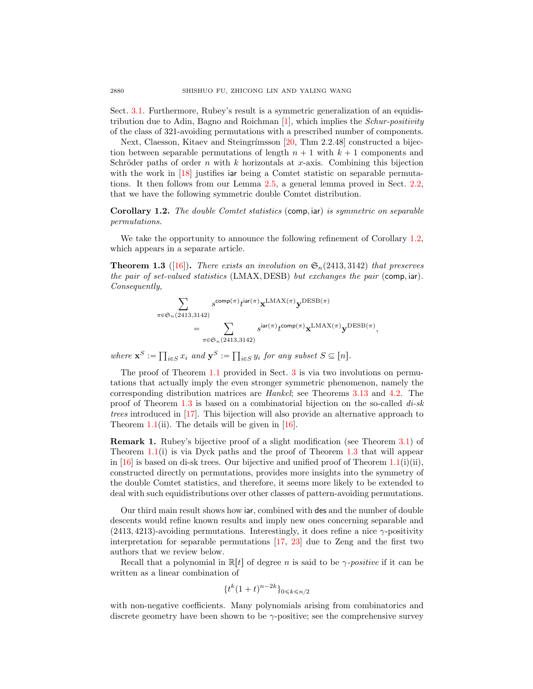Sect. [3.1.](#page-8-0) Furthermore, Rubey's result is a symmetric generalization of an equidistribution due to Adin, Bagno and Roichman  $[1]$ , which implies the *Schur-positivity* of the class of 321-avoiding permutations with a prescribed number of components.

Next, Claesson, Kitaev and Steingrímsson [\[20,](#page-36-2) Thm 2.2.48] constructed a bijection between separable permutations of length  $n + 1$  with  $k + 1$  components and Schröder paths of order n with k horizontals at x-axis. Combining this bijection with the work in [\[18\]](#page-36-5) justifies iar being a Comtet statistic on separable permutations. It then follows from our Lemma [2.5,](#page-7-0) a general lemma proved in Sect. [2.2,](#page-6-0) that we have the following symmetric double Comtet distribution.

<span id="page-3-0"></span>Corollary 1.2. The double Comtet statistics (comp, iar) is symmetric on separable permutations.

We take the opportunity to announce the following refinement of Corollary [1.2,](#page-3-0) which appears in a separate article.

<span id="page-3-1"></span>**Theorem 1.3** ([\[16\]](#page-36-10)). There exists an involution on  $\mathfrak{S}_n(2413, 3142)$  that preserves the pair of set-valued statistics (LMAX, DESB) but exchanges the pair (comp, iar). Consequently,

$$
\begin{aligned} \sum_{\pi \in \mathfrak{S}_n(2413,3142)} & s^{\mathsf{comp}(\pi)} t^{\mathsf{iar}(\pi)} \mathbf{x}^{\mathsf{LMAX}(\pi)} \mathbf{y}^{\mathsf{DESB}(\pi)} \\ & = \sum_{\pi \in \mathfrak{S}_n(2413,3142)} s^{\mathsf{iar}(\pi)} t^{\mathsf{comp}(\pi)} \mathbf{x}^{\mathsf{LMAX}(\pi)} \mathbf{y}^{\mathsf{DESB}(\pi)}, \end{aligned}
$$

where  $\mathbf{x}^S :=$  $_{i\in S} x_i$  and  $\mathbf{y}^S :=$  $_{i\in S} y_i$  for any subset  $S \subseteq [n]$ .

The proof of Theorem [1.1](#page-2-0) provided in Sect. [3](#page-8-1) is via two involutions on permutations that actually imply the even stronger symmetric phenomenon, namely the corresponding distribution matrices are Hankel; see Theorems [3.13](#page-17-0) and [4.2.](#page-22-0) The proof of Theorem [1.3](#page-3-1) is based on a combinatorial bijection on the so-called  $di$ -sk trees introduced in [\[17\]](#page-36-11). This bijection will also provide an alternative approach to Theorem [1.1\(](#page-2-0)ii). The details will be given in  $[16]$ .

Remark 1. Rubey's bijective proof of a slight modification (see Theorem [3.1\)](#page-9-0) of Theorem  $1.1(i)$  $1.1(i)$  is via Dyck paths and the proof of Theorem [1.3](#page-3-1) that will appear in  $|16|$  is based on di-sk trees. Our bijective and unified proof of Theorem [1.1\(](#page-2-0)i)(ii), constructed directly on permutations, provides more insights into the symmetry of the double Comtet statistics, and therefore, it seems more likely to be extended to deal with such equidistributions over other classes of pattern-avoiding permutations.

Our third main result shows how iar, combined with des and the number of double descents would refine known results and imply new ones concerning separable and  $(2413, 4213)$ -avoiding permutations. Interestingly, it does refine a nice  $\gamma$ -positivity interpretation for separable permutations [\[17,](#page-36-11) [23\]](#page-36-12) due to Zeng and the first two authors that we review below.

Recall that a polynomial in  $\mathbb{R}[t]$  of degree n is said to be  $\gamma$ -positive if it can be written as a linear combination of

$$
\{t^k(1+t)^{n-2k}\}_{0\leq k\leq n/2}
$$

with non-negative coefficients. Many polynomials arising from combinatorics and discrete geometry have been shown to be  $\gamma$ -positive; see the comprehensive survey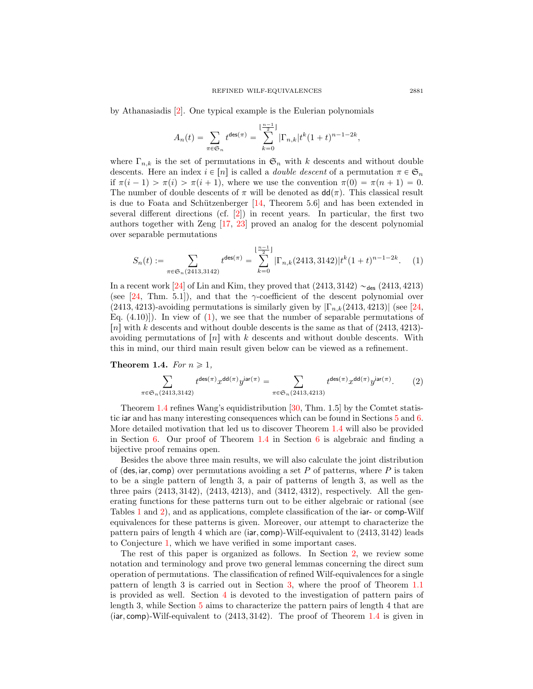by Athanasiadis [\[2\]](#page-35-4). One typical example is the Eulerian polynomials

$$
A_n(t) = \sum_{\pi \in \mathfrak{S}_n} t^{\text{des}(\pi)} = \sum_{k=0}^{\lfloor \frac{n-1}{2} \rfloor} |\Gamma_{n,k}| t^k (1+t)^{n-1-2k},
$$

where  $\Gamma_{n,k}$  is the set of permutations in  $\mathfrak{S}_n$  with k descents and without double descents. Here an index  $i \in [n]$  is called a *double descent* of a permutation  $\pi \in \mathfrak{S}_n$ if  $\pi(i-1) > \pi(i) > \pi(i+1)$ , where we use the convention  $\pi(0) = \pi(n+1) = 0$ . The number of double descents of  $\pi$  will be denoted as  $dd(\pi)$ . This classical result is due to Foata and Schützenberger  $[14,$  Theorem 5.6 and has been extended in several different directions (cf. [\[2\]](#page-35-4)) in recent years. In particular, the first two authors together with Zeng [\[17,](#page-36-11) [23\]](#page-36-12) proved an analog for the descent polynomial over separable permutations

<span id="page-4-0"></span>
$$
S_n(t) := \sum_{\pi \in \mathfrak{S}_n(2413,3142)} t^{\text{des}(\pi)} = \sum_{k=0}^{\lfloor \frac{n-1}{2} \rfloor} |\Gamma_{n,k}(2413,3142)| t^k (1+t)^{n-1-2k}.
$$
 (1)

In a recent work [\[24\]](#page-36-8) of Lin and Kim, they proved that  $(2413, 3142) \sim_{\text{des}} (2413, 4213)$ (see [\[24,](#page-36-8) Thm. 5.1]), and that the  $\gamma$ -coefficient of the descent polynomial over (2413, 4213)-avoiding permutations is similarly given by  $|\Gamma_{n,k}(2413, 4213)|$  (see [\[24,](#page-36-8) Eq.  $(4.10)$ ]). In view of  $(1)$ , we see that the number of separable permutations of |n| with k descents and without double descents is the same as that of  $(2413, 4213)$ avoiding permutations of  $[n]$  with k descents and without double descents. With this in mind, our third main result given below can be viewed as a refinement.

# <span id="page-4-1"></span>**Theorem 1.4.** For  $n \geq 1$ ,

<span id="page-4-2"></span>
$$
\sum_{\pi \in \mathfrak{S}_n(2413,3142)} t^{\text{des}(\pi)} x^{\text{dd}(\pi)} y^{\text{iar}(\pi)} = \sum_{\pi \in \mathfrak{S}_n(2413,4213)} t^{\text{des}(\pi)} x^{\text{dd}(\pi)} y^{\text{iar}(\pi)}.
$$
 (2)

Theorem [1.4](#page-4-1) refines Wang's equidistribution [\[30,](#page-36-14) Thm. 1.5] by the Comtet statistic iar and has many interesting consequences which can be found in Sections [5](#page-25-0) and [6.](#page-29-0) More detailed motivation that led us to discover Theorem [1.4](#page-4-1) will also be provided in Section [6.](#page-29-0) Our proof of Theorem  $1.4$  in Section [6](#page-29-0) is algebraic and finding a bijective proof remains open.

Besides the above three main results, we will also calculate the joint distribution of (des, iar, comp) over permutations avoiding a set P of patterns, where P is taken to be a single pattern of length 3, a pair of patterns of length 3, as well as the three pairs  $(2413, 3142)$ ,  $(2413, 4213)$ , and  $(3412, 4312)$ , respectively. All the generating functions for these patterns turn out to be either algebraic or rational (see Tables [1](#page-9-1) and [2\)](#page-21-0), and as applications, complete classification of the iar- or comp-Wilf equivalences for these patterns is given. Moreover, our attempt to characterize the pattern pairs of length 4 which are (iar, comp)-Wilf-equivalent to  $(2413, 3142)$  leads to Conjecture [1,](#page-27-0) which we have verified in some important cases.

The rest of this paper is organized as follows. In Section [2,](#page-5-0) we review some notation and terminology and prove two general lemmas concerning the direct sum operation of permutations. The classification of refined Wilf-equivalences for a single pattern of length 3 is carried out in Section [3,](#page-8-1) where the proof of Theorem [1.1](#page-2-0) is provided as well. Section [4](#page-20-0) is devoted to the investigation of pattern pairs of length 3, while Section [5](#page-25-0) aims to characterize the pattern pairs of length 4 that are (iar, comp)-Wilf-equivalent to  $(2413, 3142)$ . The proof of Theorem [1.4](#page-4-1) is given in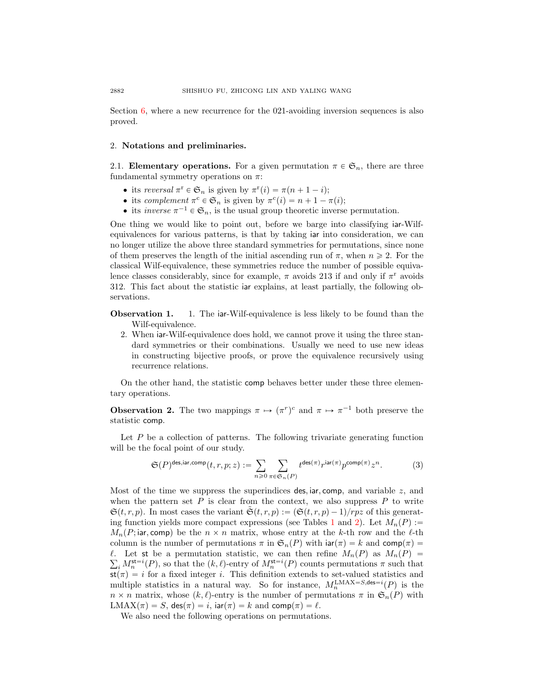Section  $6$ , where a new recurrence for the 021-avoiding inversion sequences is also proved.

#### <span id="page-5-0"></span>2. Notations and preliminaries.

2.1. Elementary operations. For a given permutation  $\pi \in \mathfrak{S}_n$ , there are three fundamental symmetry operations on  $\pi$ :

- its reversal  $\pi^r \in \mathfrak{S}_n$  is given by  $\pi^r(i) = \pi(n+1-i);$
- its complement  $\pi^c \in \mathfrak{S}_n$  is given by  $\pi^c(i) = n + 1 \pi(i);$
- its *inverse*  $\pi^{-1} \in \mathfrak{S}_n$ , is the usual group theoretic inverse permutation.

One thing we would like to point out, before we barge into classifying iar-Wilfequivalences for various patterns, is that by taking iar into consideration, we can no longer utilize the above three standard symmetries for permutations, since none of them preserves the length of the initial ascending run of  $\pi$ , when  $n \geq 2$ . For the classical Wilf-equivalence, these symmetries reduce the number of possible equivalence classes considerably, since for example,  $\pi$  avoids 213 if and only if  $\pi$ <sup>r</sup> avoids 312. This fact about the statistic iar explains, at least partially, the following observations.

Observation 1. 1. The iar-Wilf-equivalence is less likely to be found than the Wilf-equivalence.

2. When iar-Wilf-equivalence does hold, we cannot prove it using the three standard symmetries or their combinations. Usually we need to use new ideas in constructing bijective proofs, or prove the equivalence recursively using recurrence relations.

On the other hand, the statistic comp behaves better under these three elementary operations.

<span id="page-5-1"></span>**Observation 2.** The two mappings  $\pi \mapsto (\pi^r)^c$  and  $\pi \mapsto \pi^{-1}$  both preserve the statistic comp.

Let  $P$  be a collection of patterns. The following trivariate generating function will be the focal point of our study.

$$
\mathfrak{S}(P)^{\text{des,iar,comp}}(t,r,p;z) := \sum_{n\geqslant 0} \sum_{\pi \in \mathfrak{S}_n(P)} t^{\text{des}(\pi)} r^{\text{iar}(\pi)} p^{\text{comp}(\pi)} z^n.
$$
 (3)

Most of the time we suppress the superindices des, iar, comp, and variable  $z$ , and when the pattern set  $P$  is clear from the context, we also suppress  $P$  to write  $\mathfrak{S}(t, r, p)$ . In most cases the variant  $\mathfrak{S}(t, r, p) := (\mathfrak{S}(t, r, p) - 1)/rpz$  of this generat-ing function yields more compact expressions (see Tables [1](#page-9-1) and [2\)](#page-21-0). Let  $M_n(P) :=$  $M_n(P; \text{iar}, \text{comp})$  be the  $n \times n$  matrix, whose entry at the k-th row and the l-th column is the number of permutations  $\pi$  in  $\mathfrak{S}_n(P)$  with  $\text{iar}(\pi) = k$  and  $\text{comp}(\pi) =$  $\ell$ . Let st be a permutation statistic, we can then refine  $M_n(P)$  as  $M_n(P)$  $i_{i} M_{n}^{\text{st}=i}(P)$ , so that the  $(k, \ell)$ -entry of  $M_{n}^{\text{st}=i}(P)$  counts permutations  $\pi$  such that  $st(\pi) = i$  for a fixed integer i. This definition extends to set-valued statistics and multiple statistics in a natural way. So for instance,  $M_n^{\text{LMAX}=S,\text{des}=i}(P)$  is the  $n \times n$  matrix, whose  $(k, \ell)$ -entry is the number of permutations  $\pi$  in  $\mathfrak{S}_n(P)$  with  $\text{LMAX}(\pi) = S$ , des $(\pi) = i$ , iar $(\pi) = k$  and comp $(\pi) = \ell$ .

We also need the following operations on permutations.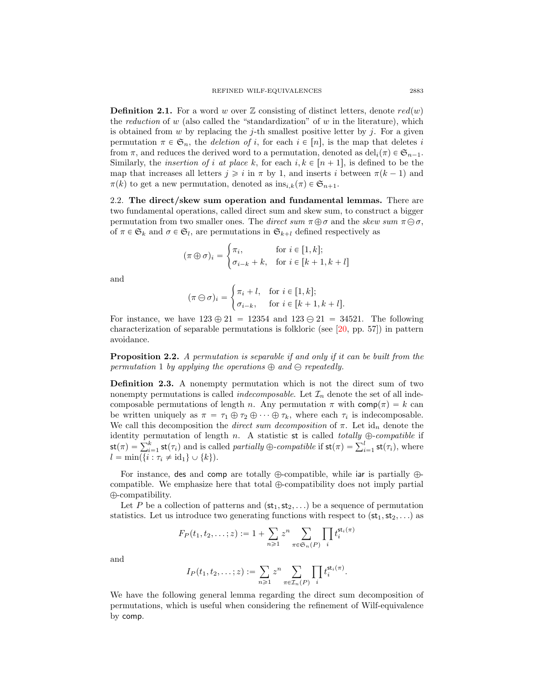<span id="page-6-1"></span>**Definition 2.1.** For a word w over  $\mathbb{Z}$  consisting of distinct letters, denote  $red(w)$ the reduction of w (also called the "standardization" of w in the literature), which is obtained from  $w$  by replacing the j-th smallest positive letter by j. For a given permutation  $\pi \in \mathfrak{S}_n$ , the deletion of i, for each  $i \in [n]$ , is the map that deletes i from  $\pi$ , and reduces the derived word to a permutation, denoted as  $\text{del}_i(\pi) \in \mathfrak{S}_{n-1}$ . Similarly, the *insertion of i at place k*, for each  $i, k \in [n + 1]$ , is defined to be the map that increases all letters  $j \geqslant i$  in  $\pi$  by 1, and inserts i between  $\pi(k-1)$  and  $\pi(k)$  to get a new permutation, denoted as  $ins_{i,k}(\pi) \in \mathfrak{S}_{n+1}$ .

<span id="page-6-0"></span>2.2. The direct/skew sum operation and fundamental lemmas. There are two fundamental operations, called direct sum and skew sum, to construct a bigger permutation from two smaller ones. The direct sum  $\pi \oplus \sigma$  and the skew sum  $\pi \ominus \sigma$ , of  $\pi \in \mathfrak{S}_k$  and  $\sigma \in \mathfrak{S}_l$ , are permutations in  $\mathfrak{S}_{k+l}$  defined respectively as

$$
(\pi \oplus \sigma)_i = \begin{cases} \pi_i, & \text{for } i \in [1, k]; \\ \sigma_{i-k} + k, & \text{for } i \in [k+1, k+l] \end{cases}
$$

and

$$
(\pi \ominus \sigma)_i = \begin{cases} \pi_i + l, & \text{for } i \in [1, k]; \\ \sigma_{i-k}, & \text{for } i \in [k+1, k+l]. \end{cases}
$$

For instance, we have  $123 \oplus 21 = 12354$  and  $123 \ominus 21 = 34521$ . The following characterization of separable permutations is folkloric (see [\[20,](#page-36-2) pp. 57]) in pattern avoidance.

Proposition 2.2. A permutation is separable if and only if it can be built from the permutation 1 by applying the operations  $\oplus$  and  $\ominus$  repeatedly.

Definition 2.3. A nonempty permutation which is not the direct sum of two nonempty permutations is called *indecomposable*. Let  $\mathcal{I}_n$  denote the set of all indecomposable permutations of length n. Any permutation  $\pi$  with  $\text{comp}(\pi) = k$  can be written uniquely as  $\pi = \tau_1 \oplus \tau_2 \oplus \cdots \oplus \tau_k$ , where each  $\tau_i$  is indecomposable. We call this decomposition the *direct sum decomposition* of  $\pi$ . Let  $id_n$  denote the identity permutation of length *n*. A statistic st is called *totally*  $\bigoplus$ -compatible if  $\mathsf{st}(\pi) = \sum_{i=1}^k \mathsf{st}(\tau_i)$ , where  $l = \min(\{i : \tau_i \neq id_1\} \cup \{k\}).$ 

For instance, des and comp are totally  $\oplus$ -compatible, while iar is partially  $\oplus$ compatible. We emphasize here that total  $\bigoplus$ -compatibility does not imply partial  $\oplus$ -compatibility.

Let P be a collection of patterns and  $(\text{st}_1, \text{st}_2, ...)$  be a sequence of permutation statistics. Let us introduce two generating functions with respect to  $(st_1, st_2, ...)$  as

$$
F_P(t_1, t_2, \dots; z) := 1 + \sum_{n \geq 1} z^n \sum_{\pi \in \mathfrak{S}_n(P)} \prod_i t_i^{\mathfrak{st}_i(\pi)}
$$

and

$$
I_P(t_1, t_2, \ldots; z) := \sum_{n \geq 1} z^n \sum_{\pi \in \mathcal{I}_n(P)} \prod_i t_i^{\mathsf{st}_i(\pi)}.
$$

We have the following general lemma regarding the direct sum decomposition of permutations, which is useful when considering the refinement of Wilf-equivalence by comp.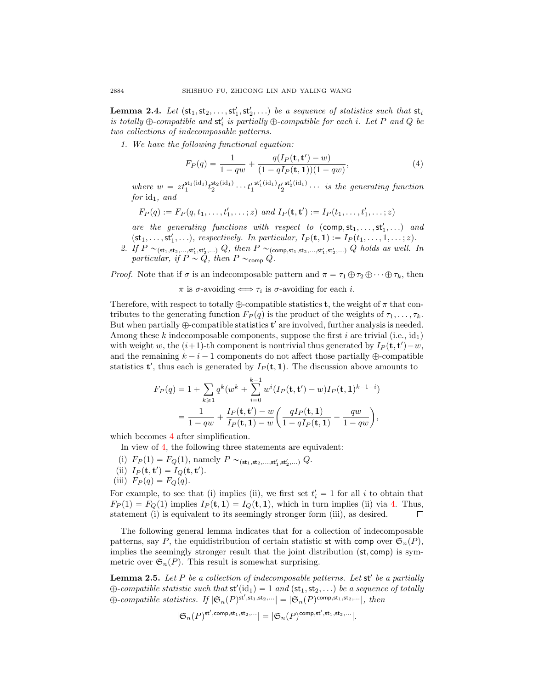<span id="page-7-2"></span>**Lemma 2.4.** Let  $(st_1, st_2, \ldots, st'_1, st'_2, \ldots)$  be a sequence of statistics such that  $st_i$ is totally  $\oplus$ -compatible and  $st_i'$  is partially  $\oplus$ -compatible for each i. Let P and Q be two collections of indecomposable patterns.

1. We have the following functional equation:

<span id="page-7-1"></span>
$$
F_P(q) = \frac{1}{1 - qw} + \frac{q(I_P(\mathbf{t}, \mathbf{t}') - w)}{(1 - qI_P(\mathbf{t}, 1))(1 - qw)},
$$
\n(4)

where  $w = z t_1^{\text{st}_1(\text{id}_1)} t_2^{\text{st}_2(\text{id}_1)} \cdots t_1'^{\text{st}_1'(\text{id}_1)} t_2'^{\text{st}_2'(\text{id}_1)} \cdots$  is the generating function  $for$   $id_1$ , and

$$
F_P(q) := F_P(q, t_1, \ldots, t'_1, \ldots; z)
$$
 and  $I_P(\mathbf{t}, \mathbf{t}') := I_P(t_1, \ldots, t'_1, \ldots; z)$ 

are the generating functions with respect to  $(\text{comp}, st_1, \ldots, st'_1, \ldots)$  and  $(\text{st}_1, \ldots, \text{st}'_1, \ldots),$  respectively. In particular,  $I_P(\textbf{t}, \textbf{1}) := I_P(t_1, \ldots, 1, \ldots; z)$ .

2. If  $P \sim_{(\mathsf{st}_1, \mathsf{st}_2, ..., \mathsf{st}_1', \mathsf{st}_2', ...)} Q$ , then  $P \sim_{(\mathsf{comp}, \mathsf{st}_1, \mathsf{st}_2, ..., \mathsf{st}_1', \mathsf{st}_2', ...)} Q$  holds as well. In particular, if  $P \sim Q$ , then  $P \sim_{\text{comp}} Q$ .

*Proof.* Note that if  $\sigma$  is an indecomposable pattern and  $\pi = \tau_1 \oplus \tau_2 \oplus \cdots \oplus \tau_k$ , then

 $\pi$  is  $\sigma$ -avoiding  $\Longleftrightarrow \tau_i$  is  $\sigma$ -avoiding for each *i*.

Therefore, with respect to totally  $\bigoplus$ -compatible statistics **t**, the weight of  $\pi$  that contributes to the generating function  $F_P(q)$  is the product of the weights of  $\tau_1, \ldots, \tau_k$ . But when partially  $\oplus$ -compatible statistics  $t'$  are involved, further analysis is needed. Among these k indecomposable components, suppose the first i are trivial (i.e.,  $id_1$ ) with weight w, the  $(i+1)$ -th component is nontrivial thus generated by  $I_P(\mathbf{t}, \mathbf{t}') - w$ , and the remaining  $k - i - 1$  components do not affect those partially  $\bigoplus$ -compatible statistics **t'**, thus each is generated by  $I_P(\mathbf{t}, \mathbf{1})$ . The discussion above amounts to

$$
F_P(q) = 1 + \sum_{k \ge 1} q^k (w^k + \sum_{i=0}^{k-1} w^i (I_P(\mathbf{t}, \mathbf{t}') - w) I_P(\mathbf{t}, \mathbf{1})^{k-1-i})
$$
  
= 
$$
\frac{1}{1 - qw} + \frac{I_P(\mathbf{t}, \mathbf{t}') - w}{I_P(\mathbf{t}, \mathbf{1}) - w} \left( \frac{q I_P(\mathbf{t}, \mathbf{1})}{1 - q I_P(\mathbf{t}, \mathbf{1})} - \frac{q w}{1 - q w} \right),
$$

which becomes [4](#page-7-1) after simplification.

In view of [4,](#page-7-1) the following three statements are equivalent:

- (i)  $F_P(1) = F_Q(1)$ , namely  $P \sim_{(\mathsf{st}_1, \mathsf{st}_2, ..., \mathsf{st}_1', \mathsf{st}_2', ...) Q$ .
- (ii)  $I_P(\mathbf{t}, \mathbf{t}') = I_Q(\mathbf{t}, \mathbf{t}').$
- (iii)  $F_P(q) = F_Q(q)$ .

For example, to see that (i) implies (ii), we first set  $t'_{i} = 1$  for all i to obtain that  $F_P(1) = F_Q(1)$  implies  $I_P(\mathbf{t}, 1) = I_Q(\mathbf{t}, 1)$ , which in turn implies (ii) via [4.](#page-7-1) Thus, statement (i) is equivalent to its seemingly stronger form (iii), as desired.  $\Box$ 

The following general lemma indicates that for a collection of indecomposable patterns, say P, the equidistribution of certain statistic st with comp over  $\mathfrak{S}_n(P)$ , implies the seemingly stronger result that the joint distribution  $(\mathsf{st}, \mathsf{comp})$  is symmetric over  $\mathfrak{S}_n(P)$ . This result is somewhat surprising.

<span id="page-7-0"></span>**Lemma 2.5.** Let  $P$  be a collection of indecomposable patterns. Let  $st'$  be a partially  $\oplus$ -compatible statistic such that  $\mathsf{st}'(\mathrm{id}_1) = 1$  and  $(\mathsf{st}_1, \mathsf{st}_2, \ldots)$  be a sequence of totally  $\oplus$ -compatible statistics. If  $|\mathfrak{S}_n(P)^{\mathsf{st}',\mathsf{st}_1,\mathsf{st}_2,\ldots}| = |\mathfrak{S}_n(P)^{\mathsf{comp},\mathsf{st}_1,\mathsf{st}_2,\ldots}|$ , then

$$
|\mathfrak{S}_n(P)^{\mathsf{st}',\mathsf{comp},\mathsf{st}_1,\mathsf{st}_2,\ldots}|=|\mathfrak{S}_n(P)^{\mathsf{comp},\mathsf{st}',\mathsf{st}_1,\mathsf{st}_2,\ldots}|.
$$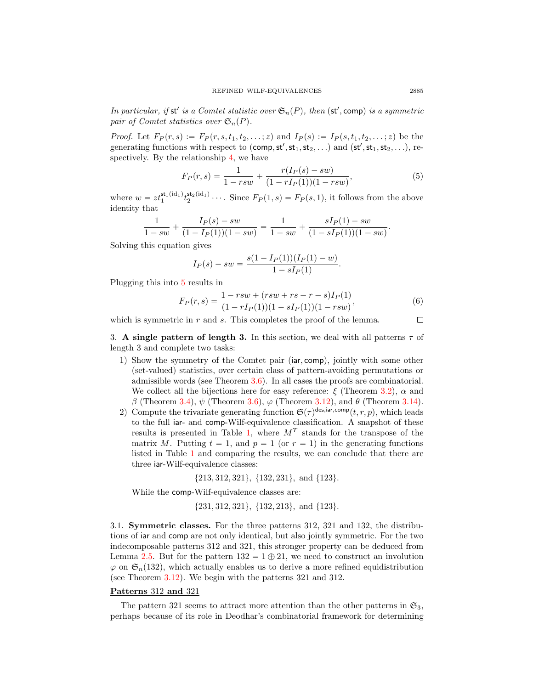In particular, if st' is a Comtet statistic over  $\mathfrak{S}_n(P)$ , then  $(\mathsf{st}', \mathsf{comp})$  is a symmetric pair of Comtet statistics over  $\mathfrak{S}_n(P)$ .

*Proof.* Let  $F_P(r, s) := F_P(r, s, t_1, t_2, \ldots; z)$  and  $I_P(s) := I_P(s, t_1, t_2, \ldots; z)$  be the generating functions with respect to (comp,  $st', st_1, st_2, \ldots$ ) and  $(st', st_1, st_2, \ldots)$ , respectively. By the relationship [4,](#page-7-1) we have

<span id="page-8-2"></span>
$$
F_P(r,s) = \frac{1}{1 - rsw} + \frac{r(I_P(s) - sw)}{(1 - rI_P(1))(1 - rsw)},
$$
\n(5)

where  $w = z t_1^{\text{st}_1(\text{id}_1)} t_2^{\text{st}_2(\text{id}_1)} \cdots$ . Since  $F_P(1, s) = F_P(s, 1)$ , it follows from the above identity that

$$
\frac{1}{1-sw} + \frac{I_P(s) - sw}{(1 - I_P(1))(1 - sw)} = \frac{1}{1 - sw} + \frac{sI_P(1) - sw}{(1 - sI_P(1))(1 - sw)}.
$$

Solving this equation gives

$$
I_P(s) - sw = \frac{s(1 - I_P(1))(I_P(1) - w)}{1 - sI_P(1)}.
$$

Plugging this into [5](#page-8-2) results in

<span id="page-8-3"></span>
$$
F_P(r,s) = \frac{1 - rsw + (rsw + rs - r - s)I_P(1)}{(1 - rI_P(1))(1 - sI_P(1))(1 - rsw)},
$$
\n(6)

which is symmetric in  $r$  and  $s$ . This completes the proof of the lemma.

<span id="page-8-1"></span>3. A single pattern of length 3. In this section, we deal with all patterns  $\tau$  of length 3 and complete two tasks:

- 1) Show the symmetry of the Comtet pair (iar, comp), jointly with some other (set-valued) statistics, over certain class of pattern-avoiding permutations or admissible words (see Theorem [3.6\)](#page-12-0). In all cases the proofs are combinatorial. We collect all the bijections here for easy reference:  $\xi$  (Theorem [3.2\)](#page-10-0),  $\alpha$  and β (Theorem [3.4\)](#page-11-0),  $\psi$  (Theorem [3.6\)](#page-12-0),  $\varphi$  (Theorem [3.12\)](#page-16-0), and  $\theta$  (Theorem [3.14\)](#page-17-1).
- 2) Compute the trivariate generating function  $\mathfrak{S}(\tau)^{\text{des,iar,comp}}(t,r,p)$ , which leads to the full iar- and comp-Wilf-equivalence classification. A snapshot of these results is presented in Table [1,](#page-9-1) where  $M<sup>T</sup>$  stands for the transpose of the matrix M. Putting  $t = 1$ , and  $p = 1$  (or  $r = 1$ ) in the generating functions listed in Table [1](#page-9-1) and comparing the results, we can conclude that there are three iar-Wilf-equivalence classes:

 ${213, 312, 321}, {132, 231}, and {123}.$ 

While the comp-Wilf-equivalence classes are:

 $\{231, 312, 321\}, \{132, 213\}, \text{ and } \{123\}.$ 

<span id="page-8-0"></span>3.1. Symmetric classes. For the three patterns 312, 321 and 132, the distributions of iar and comp are not only identical, but also jointly symmetric. For the two indecomposable patterns 312 and 321, this stronger property can be deduced from Lemma [2.5.](#page-7-0) But for the pattern  $132 = 1 \oplus 21$ , we need to construct an involution  $\varphi$  on  $\mathfrak{S}_n(132)$ , which actually enables us to derive a more refined equidistribution (see Theorem [3.12\)](#page-16-0). We begin with the patterns 321 and 312.

# Patterns 312 and 321

The pattern 321 seems to attract more attention than the other patterns in  $\mathfrak{S}_3$ , perhaps because of its role in Deodhar's combinatorial framework for determining

 $\Box$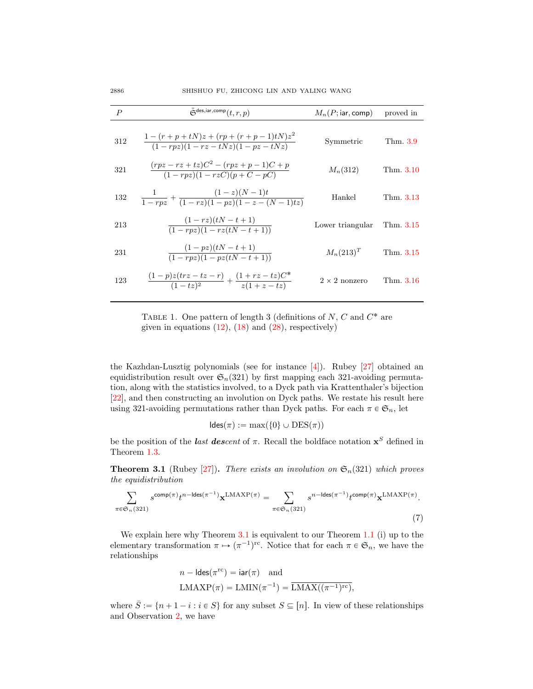| $\boldsymbol{P}$ | $\tilde{\mathfrak{S}}^{\text{des,iar,comp}}(t,r,p)$                              | $M_n(P; \text{iar}, \text{comp})$ | proved in |
|------------------|----------------------------------------------------------------------------------|-----------------------------------|-----------|
| 312              | $\frac{1-(r+p+tN)z+(rp+(r+p-1)tN)z^2}{(1-rpz)(1-rz-tNz)(1-pz-tNz)}$              | Symmetric                         | Thm. 3.9  |
| 321              | $\frac{(rpz - rz + tz)C^2 - (rpz + p - 1)C + p}{(1 - rpz)(1 - rzC)(p + C - pC)}$ | $M_n(312)$                        | Thm. 3.10 |
| 132              | $\frac{1}{1-rpz} + \frac{(1-z)(N-1)t}{(1-rz)(1-pz)(1-z-(N-1)tz)}$                | Hankel                            | Thm. 3.13 |
| 213              | $\frac{(1-rz)(tN-t+1)}{(1-rpz)(1-rz(tN-t+1))}$                                   | Lower triangular                  | Thm. 3.15 |
| 231              | $\frac{(1 - pz)(tN - t + 1)}{(1 - rpz)(1 - pz(tN - t + 1))}$                     | $M_n(213)^T$                      | Thm. 3.15 |
| 123              | $\frac{(1-p)z(txz-tz-r)}{(1-tz)^2} + \frac{(1+rz-tz)C^*}{z(1+z-tz)}$             | $2 \times 2$ nonzero              | Thm. 3.16 |

<span id="page-9-1"></span>TABLE 1. One pattern of length 3 (definitions of  $N$ ,  $C$  and  $C^*$  are given in equations  $(12)$ ,  $(18)$  and  $(28)$ , respectively)

the Kazhdan-Lusztig polynomials (see for instance [\[4\]](#page-35-5)). Rubey [\[27\]](#page-36-9) obtained an equidistribution result over  $\mathfrak{S}_n(321)$  by first mapping each 321-avoiding permutation, along with the statistics involved, to a Dyck path via Krattenthaler's bijection [\[22\]](#page-36-15), and then constructing an involution on Dyck paths. We restate his result here using 321-avoiding permutations rather than Dyck paths. For each  $\pi \in \mathfrak{S}_n$ , let

$$
ldes(\pi) := \max(\{0\} \cup \text{DES}(\pi))
$$

be the position of the *last descent* of  $\pi$ . Recall the boldface notation  $x^S$  defined in Theorem [1.3.](#page-3-1)

<span id="page-9-0"></span>**Theorem 3.1** (Rubey [\[27\]](#page-36-9)). There exists an involution on  $\mathfrak{S}_n(321)$  which proves the equidistribution

<span id="page-9-2"></span>
$$
\sum_{\pi \in \mathfrak{S}_n(321)} s^{\text{comp}(\pi)} t^{n-\text{ldes}(\pi^{-1})} \mathbf{x}^{\text{LMAXP}(\pi)} = \sum_{\pi \in \mathfrak{S}_n(321)} s^{n-\text{ldes}(\pi^{-1})} t^{\text{comp}(\pi)} \mathbf{x}^{\text{LMAXP}(\pi)}.
$$
\n(7)

We explain here why Theorem [3.1](#page-9-0) is equivalent to our Theorem [1.1](#page-2-0) (i) up to the elementary transformation  $\pi \mapsto (\pi^{-1})^{\text{rc}}$ . Notice that for each  $\pi \in \mathfrak{S}_n$ , we have the relationships

$$
n-\mathsf{ldes}(\pi^{\mathrm{rc}})=\mathsf{iar}(\pi) \quad \text{and}
$$

$$
\mathrm{LMX}P(\pi)=\mathrm{LMIN}(\pi^{-1})=\overline{\mathrm{LMAX}((\pi^{-1})^{\mathrm{rc}})},
$$

where  $\bar{S} := \{ n + 1 - i : i \in S \}$  for any subset  $S \subseteq [n]$ . In view of these relationships. and Observation [2,](#page-5-1) we have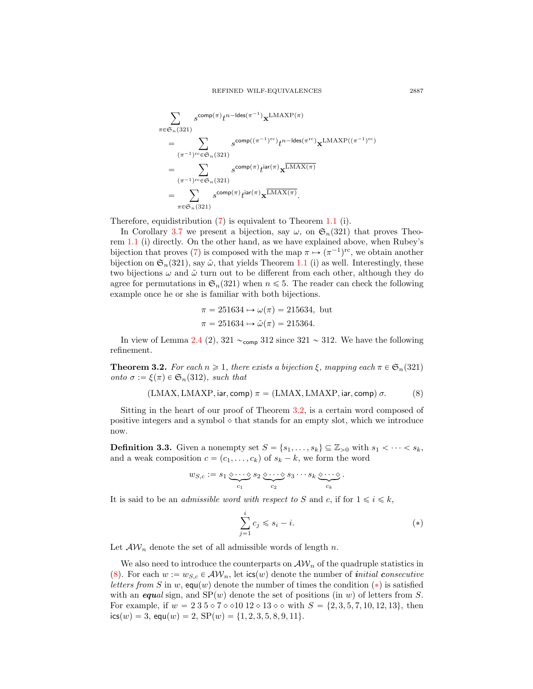$$
\sum_{\pi \in \mathfrak{S}_n(321)} s^{\text{comp}(\pi)} t^{n-\text{ldes}(\pi^{-1})} \mathbf{x}^{\text{LMAXP}(\pi)}
$$
\n
$$
= \sum_{(\pi^{-1})^{\text{rc}} \in \mathfrak{S}_n(321)} s^{\text{comp}((\pi^{-1})^{\text{rc}})} t^{n-\text{ldes}(\pi^{\text{rc}})} \mathbf{x}^{\text{LMAXP}((\pi^{-1})^{\text{rc}})}
$$
\n
$$
= \sum_{(\pi^{-1})^{\text{rc}} \in \mathfrak{S}_n(321)} s^{\text{comp}(\pi)} t^{\text{iar}(\pi)} \mathbf{x}^{\overline{\text{LMAX}(\pi)}}
$$
\n
$$
= \sum_{\pi \in \mathfrak{S}_n(321)} s^{\text{comp}(\pi)} t^{\text{iar}(\pi)} \mathbf{x}^{\overline{\text{LMAX}(\pi)}}.
$$

Therefore, equidistribution [\(7\)](#page-9-2) is equivalent to Theorem [1.1](#page-2-0) (i).

In Corollary [3.7](#page-12-1) we present a bijection, say  $\omega$ , on  $\mathfrak{S}_n(321)$  that proves Theorem [1.1](#page-2-0) (i) directly. On the other hand, as we have explained above, when Rubey's bijection that proves [\(7\)](#page-9-2) is composed with the map  $\pi \mapsto (\pi^{-1})^{\text{rc}}$ , we obtain another bijection on  $\mathfrak{S}_n(321)$ , say  $\tilde{\omega}$ , that yields Theorem [1.1](#page-2-0) (i) as well. Interestingly, these two bijections  $\omega$  and  $\tilde{\omega}$  turn out to be different from each other, although they do agree for permutations in  $\mathfrak{S}_n(321)$  when  $n \leq 5$ . The reader can check the following example once he or she is familiar with both bijections.

$$
\pi = 251634 \rightarrow \omega(\pi) = 215634
$$
, but  
\n $\pi = 251634 \rightarrow \tilde{\omega}(\pi) = 215364$ .

In view of Lemma [2.4](#page-7-2) (2), 321  $\sim$ <sub>comp</sub> 312 since 321  $\sim$  312. We have the following refinement.

<span id="page-10-0"></span>**Theorem 3.2.** For each  $n \geq 1$ , there exists a bijection  $\xi$ , mapping each  $\pi \in \mathfrak{S}_n(321)$ onto  $\sigma := \xi(\pi) \in \mathfrak{S}_n(312)$ , such that

$$
(LMAX, LMAXP, iar, comp) \pi = (LMAX, LMAXP, iar, comp) \sigma.
$$
 (8)

Sitting in the heart of our proof of Theorem [3.2,](#page-10-0) is a certain word composed of positive integers and a symbol  $\diamond$  that stands for an empty slot, which we introduce now.

**Definition 3.3.** Given a nonempty set  $S = \{s_1, \ldots, s_k\} \subseteq \mathbb{Z}_{>0}$  with  $s_1 < \cdots < s_k$ , and a weak composition  $c = (c_1, \ldots, c_k)$  of  $s_k - k$ , we form the word

$$
w_{S,c} := s_1 \underbrace{\diamond \cdots \diamond}_{c_1} s_2 \underbrace{\diamond \cdots \diamond}_{c_2} s_3 \cdots s_k \underbrace{\diamond \cdots \diamond}_{c_k}.
$$

It is said to be an *admissible word with respect to S* and *c*, if for  $1 \le i \le k$ ,

<span id="page-10-2"></span><span id="page-10-1"></span>
$$
\sum_{j=1}^{i} c_j \leqslant s_i - i. \tag{*}
$$

Let  $\mathcal{AW}_n$  denote the set of all admissible words of length n.

We also need to introduce the counterparts on  $\mathcal{AW}_n$  of the quadruple statistics in [\(8\)](#page-10-1). For each  $w := w_{S,c} \in \mathcal{AW}_n$ , let  $\text{ics}(w)$  denote the number of *initial consecutive* letters from S in w, equ(w) denote the number of times the condition (\*) is satisfied with an equal sign, and  $SP(w)$  denote the set of positions (in w) of letters from S. For example, if  $w = 235 \circ 7 \circ 1012 \circ 13 \circ \circ \text{ with } S = \{2, 3, 5, 7, 10, 12, 13\}$ , then  $ics(w) = 3$ ,  $equ(w) = 2$ ,  $SP(w) = \{1, 2, 3, 5, 8, 9, 11\}.$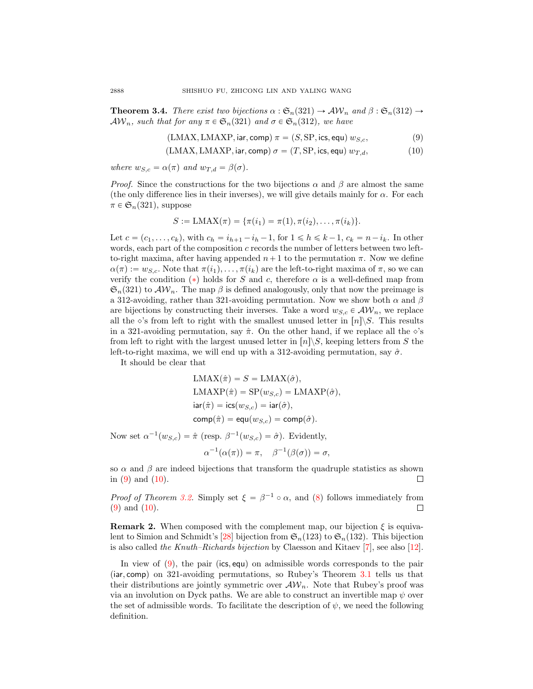<span id="page-11-0"></span>**Theorem 3.4.** There exist two bijections  $\alpha : \mathfrak{S}_n(321) \to \mathcal{AW}_n$  and  $\beta : \mathfrak{S}_n(312) \to$  $\mathcal{AW}_n$ , such that for any  $\pi \in \mathfrak{S}_n(321)$  and  $\sigma \in \mathfrak{S}_n(312)$ , we have

<span id="page-11-2"></span><span id="page-11-1"></span>
$$
(LMAX, LMAXP, iar, comp) \pi = (S, SP, ics, equ) w_{S,c}, \tag{9}
$$

 $(LMAX, LMAXP, \text{iar}, \text{comp}) \sigma = (T, SP, \text{ics}, \text{equ}) w_{T, d},$  (10)

where  $w_{S,c} = \alpha(\pi)$  and  $w_{T,d} = \beta(\sigma)$ .

*Proof.* Since the constructions for the two bijections  $\alpha$  and  $\beta$  are almost the same (the only difference lies in their inverses), we will give details mainly for  $\alpha$ . For each  $\pi \in \mathfrak{S}_n(321)$ , suppose

$$
S := \text{LMAX}(\pi) = \{\pi(i_1) = \pi(1), \pi(i_2), \dots, \pi(i_k)\}.
$$

Let  $c = (c_1, \ldots, c_k)$ , with  $c_h = i_{h+1} - i_h - 1$ , for  $1 \le h \le k - 1$ ,  $c_k = n - i_k$ . In other words, each part of the composition  $c$  records the number of letters between two leftto-right maxima, after having appended  $n+1$  to the permutation  $\pi$ . Now we define  $\alpha(\pi) := w_{S,c}$ . Note that  $\pi(i_1), \ldots, \pi(i_k)$  are the left-to-right maxima of  $\pi$ , so we can verify the condition  $(*)$  holds for S and c, therefore  $\alpha$  is a well-defined map from  $\mathfrak{S}_n(321)$  to  $\mathcal{AW}_n$ . The map  $\beta$  is defined analogously, only that now the preimage is a 312-avoiding, rather than 321-avoiding permutation. Now we show both  $\alpha$  and  $\beta$ are bijections by constructing their inverses. Take a word  $w_{S,c} \in \mathcal{AW}_n$ , we replace all the  $\diamond$ 's from left to right with the smallest unused letter in  $[n]\S$ . This results in a 321-avoiding permutation, say  $\hat{\pi}$ . On the other hand, if we replace all the  $\diamond$ 's from left to right with the largest unused letter in  $\lfloor n \rfloor \setminus S$ , keeping letters from S the left-to-right maxima, we will end up with a 312-avoiding permutation, say  $\hat{\sigma}$ .

It should be clear that

$$
LMAX(\hat{\pi}) = S = LMAX(\hat{\sigma}),
$$
  
\n
$$
LMXP(\hat{\pi}) = SP(w_{S,c}) = LMXP(\hat{\sigma}),
$$
  
\n
$$
iar(\hat{\pi}) = ics(w_{S,c}) = iar(\hat{\sigma}),
$$
  
\n
$$
comp(\hat{\pi}) = equ(w_{S,c}) = comp(\hat{\sigma}).
$$

Now set  $\alpha^{-1}(w_{S,c}) = \hat{\pi}$  (resp.  $\beta^{-1}(w_{S,c}) = \hat{\sigma}$ ). Evidently,

$$
\alpha^{-1}(\alpha(\pi)) = \pi, \quad \beta^{-1}(\beta(\sigma)) = \sigma,
$$

so  $\alpha$  and  $\beta$  are indeed bijections that transform the quadruple statistics as shown in  $(9)$  and  $(10)$ . П

*Proof of Theorem [3.2.](#page-10-0)* Simply set  $\xi = \beta^{-1} \circ \alpha$ , and [\(8\)](#page-10-1) follows immediately from [\(9\)](#page-11-1) and [\(10\)](#page-11-2).  $\Box$ 

**Remark 2.** When composed with the complement map, our bijection  $\xi$  is equiva-lent to Simion and Schmidt's [\[28\]](#page-36-1) bijection from  $\mathfrak{S}_n(123)$  to  $\mathfrak{S}_n(132)$ . This bijection is also called the Knuth–Richards bijection by Claesson and Kitaev  $[7]$ , see also  $[12]$ .

In view of  $(9)$ , the pair (ics, equ) on admissible words corresponds to the pair  $(iar, comp)$  on 321-avoiding permutations, so Rubey's Theorem [3.1](#page-9-0) tells us that their distributions are jointly symmetric over  $\mathcal{AW}_n$ . Note that Rubey's proof was via an involution on Dyck paths. We are able to construct an invertible map  $\psi$  over the set of admissible words. To facilitate the description of  $\psi$ , we need the following definition.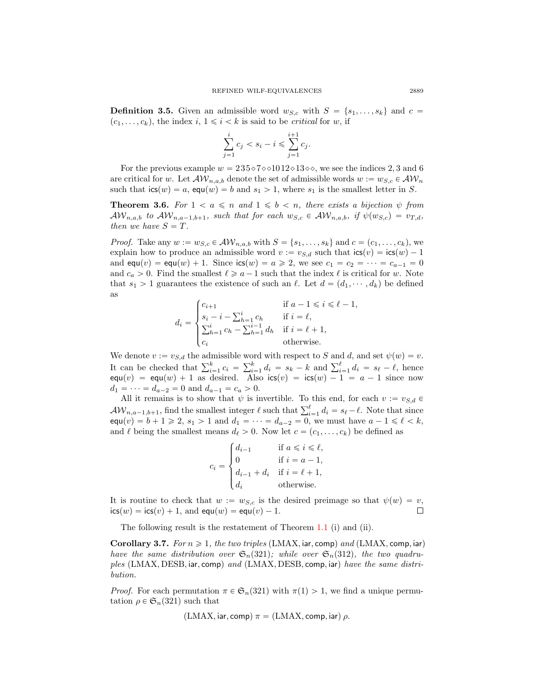**Definition 3.5.** Given an admissible word  $w_{S,c}$  with  $S = \{s_1, \ldots, s_k\}$  and  $c =$  $(c_1, \ldots, c_k)$ , the index i,  $1 \leq i \leq k$  is said to be *critical* for w, if

$$
\sum_{j=1}^{i} c_j < s_i - i \leqslant \sum_{j=1}^{i+1} c_j.
$$

For the previous example  $w = 235 \times 7 \times 1012 \times 13 \times \ldots$ , we see the indices 2, 3 and 6 are critical for w. Let  $\mathcal{AW}_{n,a,b}$  denote the set of admissible words  $w := w_{S,c} \in \mathcal{AW}_n$ such that  $\text{ics}(w) = a$ ,  $\text{equ}(w) = b$  and  $s_1 > 1$ , where  $s_1$  is the smallest letter in S.

<span id="page-12-0"></span>**Theorem 3.6.** For  $1 < a \leq n$  and  $1 \leq b < n$ , there exists a bijection  $\psi$  from  $\mathcal{AW}_{n,a,b}$  to  $\mathcal{AW}_{n,a-1,b+1}$ , such that for each  $w_{S,c} \in \mathcal{AW}_{n,a,b}$ , if  $\psi(w_{S,c}) = v_{T,d}$ , then we have  $S = T$ .

*Proof.* Take any  $w := w_{S,c} \in \mathcal{AW}_{n,a,b}$  with  $S = \{s_1, \ldots, s_k\}$  and  $c = (c_1, \ldots, c_k)$ , we explain how to produce an admissible word  $v := v_{S,d}$  such that  $\text{ics}(v) = \text{ics}(w) - 1$ and  $equ(v) = equ(w) + 1$ . Since  $ics(w) = a \ge 2$ , we see  $c_1 = c_2 = \cdots = c_{a-1} = 0$ and  $c_a > 0$ . Find the smallest  $\ell \geq a - 1$  such that the index  $\ell$  is critical for w. Note that  $s_1 > 1$  guarantees the existence of such an  $\ell$ . Let  $d = (d_1, \dots, d_k)$  be defined as

$$
d_i = \begin{cases} c_{i+1} & \text{if } a-1 \leq i \leq \ell-1, \\ s_i - i - \sum_{h=1}^i c_h & \text{if } i = \ell, \\ \sum_{h=1}^i c_h - \sum_{h=1}^{i-1} d_h & \text{if } i = \ell+1, \\ c_i & \text{otherwise.} \end{cases}
$$

We denote  $v := v_{S,d}$  the admissible word with respect to S and d, and set  $\psi(w) = v$ . We denote  $v := v_{S,d}$  the admissible words.<br>It can be checked that  $\sum_{i=1}^{k} c_i = \sum_{i=1}^{k} c_i$ for the different condition of and  $a$ , and set  $\psi(w) = v$ .<br>  $\sum_{i=1}^{k} d_i = s_k - k$  and  $\sum_{i=1}^{\ell} d_i = s_{\ell} - \ell$ , hence  $\textsf{equ}(v) = \textsf{equ}(w) + 1$  as desired. Also  $\textsf{ics}(v) = \textsf{ics}(w) - 1 = a - 1$  since now  $d_1 = \cdots = d_{a-2} = 0$  and  $d_{a-1} = c_a > 0$ .

All it remains is to show that  $\psi$  is invertible. To this end, for each  $v := v_{S,d} \in$ All it remains is to show that  $\psi$  is invertible. To this end, for each  $v := v_{S,d} \in \mathcal{AW}_{n,a-1,b+1}$ , find the smallest integer  $\ell$  such that  $\sum_{i=1}^{\ell} d_i = s_{\ell} - \ell$ . Note that since  $equ(v) = b + 1 \ge 2$ ,  $s_1 > 1$  and  $d_1 = \cdots = d_{a-2} = 0$ , we must have  $a - 1 \le \ell < k$ , and  $\ell$  being the smallest means  $d_{\ell} > 0$ . Now let  $c = (c_1, \ldots, c_k)$  be defined as

$$
c_i = \begin{cases} d_{i-1} & \text{if } a \leq i \leq \ell, \\ 0 & \text{if } i = a-1, \\ d_{i-1} + d_i & \text{if } i = \ell + 1, \\ d_i & \text{otherwise.} \end{cases}
$$

It is routine to check that  $w := w_{S,c}$  is the desired preimage so that  $\psi(w) = v$ ,  $\textsf{ics}(w) = \textsf{ics}(v) + 1$ , and  $\textsf{equ}(w) = \textsf{equ}(v) - 1$ .  $\Box$ 

The following result is the restatement of Theorem [1.1](#page-2-0) (i) and (ii).

<span id="page-12-1"></span>Corollary 3.7. For  $n \geq 1$ , the two triples (LMAX, iar, comp) and (LMAX, comp, iar) have the same distribution over  $\mathfrak{S}_n(321)$ ; while over  $\mathfrak{S}_n(312)$ , the two quadruples (LMAX, DESB, iar, comp) and (LMAX, DESB, comp, iar) have the same distribution.

*Proof.* For each permutation  $\pi \in \mathfrak{S}_n(321)$  with  $\pi(1) > 1$ , we find a unique permutation  $\rho \in \mathfrak{S}_n(321)$  such that

$$
(LMAX, iar, comp) \pi = (LMAX, comp, iar) \rho.
$$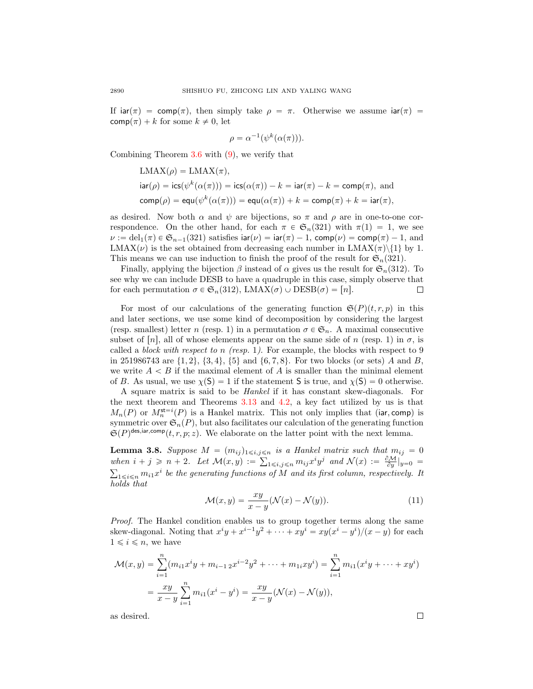If  $\text{iar}(\pi) = \text{comp}(\pi)$ , then simply take  $\rho = \pi$ . Otherwise we assume  $\text{iar}(\pi) =$  $\text{comp}(\pi) + k$  for some  $k \neq 0$ , let

$$
\rho = \alpha^{-1}(\psi^k(\alpha(\pi))).
$$

Combining Theorem [3.6](#page-12-0) with [\(9\)](#page-11-1), we verify that

$$
LMAX(\rho) = LMAX(\pi),
$$
  
\n
$$
iar(\rho) = \text{ics}(\psi^k(\alpha(\pi))) = \text{ics}(\alpha(\pi)) - k = \text{iar}(\pi) - k = \text{comp}(\pi), \text{ and}
$$
  
\n
$$
\text{comp}(\rho) = \text{equ}(\psi^k(\alpha(\pi))) = \text{equ}(\alpha(\pi)) + k = \text{comp}(\pi) + k = \text{iar}(\pi),
$$

as desired. Now both  $\alpha$  and  $\psi$  are bijections, so  $\pi$  and  $\rho$  are in one-to-one correspondence. On the other hand, for each  $\pi \in \mathfrak{S}_n(321)$  with  $\pi(1) = 1$ , we see  $\nu := \text{del}_1(\pi) \in \mathfrak{S}_{n-1}(321)$  satisfies  $\text{iar}(\nu) = \text{iar}(\pi) - 1$ ,  $\text{comp}(\nu) = \text{comp}(\pi) - 1$ , and LMAX $(\nu)$  is the set obtained from decreasing each number in LMAX $(\pi)\$ {1} by 1. This means we can use induction to finish the proof of the result for  $\mathfrak{S}_n(321)$ .

Finally, applying the bijection  $\beta$  instead of  $\alpha$  gives us the result for  $\mathfrak{S}_n(312)$ . To see why we can include DESB to have a quadruple in this case, simply observe that for each permutation  $\sigma \in \mathfrak{S}_n(312)$ , LMAX $(\sigma) \cup \text{DESB}(\sigma) = [n]$ . □

For most of our calculations of the generating function  $\mathfrak{S}(P)(t, r, p)$  in this and later sections, we use some kind of decomposition by considering the largest (resp. smallest) letter n (resp. 1) in a permutation  $\sigma \in \mathfrak{S}_n$ . A maximal consecutive subset of [n], all of whose elements appear on the same side of n (resp. 1) in  $\sigma$ , is called a block with respect to n (resp. 1). For example, the blocks with respect to 9 in 251986743 are  $\{1, 2\}, \{3, 4\}, \{5\}$  and  $\{6, 7, 8\}.$  For two blocks (or sets) A and B, we write  $A < B$  if the maximal element of A is smaller than the minimal element of B. As usual, we use  $\chi(\mathsf{S}) = 1$  if the statement S is true, and  $\chi(\mathsf{S}) = 0$  otherwise.

A square matrix is said to be Hankel if it has constant skew-diagonals. For the next theorem and Theorems [3.13](#page-17-0) and [4.2,](#page-22-0) a key fact utilized by us is that  $M_n(P)$  or  $M_n^{\text{st}=i}(P)$  is a Hankel matrix. This not only implies that (iar, comp) is symmetric over  $\mathfrak{S}_n(P)$ , but also facilitates our calculation of the generating function  $\mathfrak{S}(P)^{\text{des,iar,comp}}(t, r, p; z)$ . We elaborate on the latter point with the next lemma.

<span id="page-13-0"></span>**Lemma 3.8.** Suppose  $M = (m_{ij})_{1 \leq i,j \leq n}$  is a Hankel matrix such that  $m_{ij} = 0$ when  $i + j \geq n + 2$ . Let  $\mathcal{M}(x, y) := \sum_{1 \leq i, j \leq n} m_{ij} x^i y^j$  and  $\mathcal{N}(x) := \frac{\partial \mathcal{M}}{\partial y}|_{y=0}$  $\sum_{1 \leq i \leq n} m_{i1} x^i$  be the generating functions of M and its first column, respectively. It holds that

$$
\mathcal{M}(x, y) = \frac{xy}{x - y} (\mathcal{N}(x) - \mathcal{N}(y)).
$$
\n(11)

Proof. The Hankel condition enables us to group together terms along the same skew-diagonal. Noting that  $x^iy + x^{i-1}y^2 + \cdots + xy^i = xy(x^i - y^i)/(x - y)$  for each  $1 \leq i \leq n$ , we have

$$
\mathcal{M}(x,y) = \sum_{i=1}^{n} (m_{i1}x^{i}y + m_{i-1,2}x^{i-2}y^{2} + \dots + m_{1i}xy^{i}) = \sum_{i=1}^{n} m_{i1}(x^{i}y + \dots + xy^{i})
$$

$$
= \frac{xy}{x-y} \sum_{i=1}^{n} m_{i1}(x^{i} - y^{i}) = \frac{xy}{x-y} (\mathcal{N}(x) - \mathcal{N}(y)),
$$

as desired.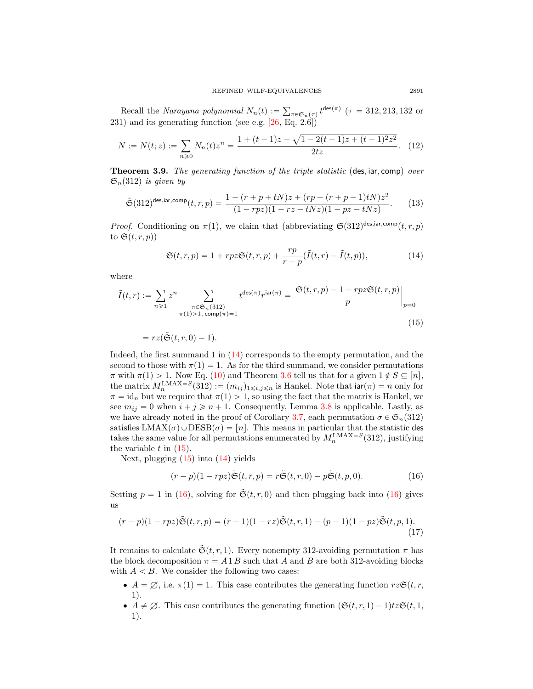Recall the Narayana polynomial  $N_n(t) :=$  $_{\pi \in \mathfrak{S}_n(\tau)} t^{\text{des}(\pi)}$  ( $\tau = 312, 213, 132$  or 231) and its generating function (see e.g.  $[26, Eq. 2.6]$ ) a

$$
N := N(t; z) := \sum_{n \geq 0} N_n(t) z^n = \frac{1 + (t - 1)z - \sqrt{1 - 2(t + 1)z + (t - 1)^2 z^2}}{2tz}.
$$
 (12)

<span id="page-14-0"></span>**Theorem 3.9.** The generating function of the triple statistic (des, iar, comp) over  $\mathfrak{S}_n(312)$  is given by

$$
\tilde{\mathfrak{S}}(312)^{\text{des}, \text{iar}, \text{comp}}(t, r, p) = \frac{1 - (r + p + tN)z + (rp + (r + p - 1)tN)z^2}{(1 - rpz)(1 - rz - tNz)(1 - pz - tNz)}.\tag{13}
$$

*Proof.* Conditioning on  $\pi(1)$ , we claim that (abbreviating  $\mathfrak{S}(312)^{\text{des,iar,comp}}(t, r, p)$ to  $\mathfrak{S}(t,r,p)$ 

<span id="page-14-6"></span><span id="page-14-3"></span><span id="page-14-2"></span><span id="page-14-1"></span>
$$
\mathfrak{S}(t,r,p) = 1 + rpz \mathfrak{S}(t,r,p) + \frac{rp}{r-p} (\tilde{I}(t,r) - \tilde{I}(t,p)),
$$
\n(14)

where

$$
\tilde{I}(t,r) := \sum_{n\geqslant 1} z^n \sum_{\substack{\pi \in \mathfrak{S}_n(312) \\ \pi(1) > 1, \text{ comp}(\pi) = 1}} t^{\text{des}(\pi)} r^{\text{iar}(\pi)} = \left. \frac{\mathfrak{S}(t,r,p) - 1 - rpz \mathfrak{S}(t,r,p)}{p} \right|_{p=0}
$$
\n
$$
(15)
$$

 $= rz(\tilde{\mathfrak{S}}(t, r, 0) - 1).$ 

Indeed, the first summand 1 in [\(14\)](#page-14-2) corresponds to the empty permutation, and the second to those with  $\pi(1) = 1$ . As for the third summand, we consider permutations  $\pi$  with  $\pi(1) > 1$ . Now Eq. [\(10\)](#page-11-2) and Theorem [3.6](#page-12-0) tell us that for a given  $1 \notin S \subseteq [n]$ , the matrix  $M_n^{\text{LMAX}=S}(312) := (m_{ij})_{1 \leq i,j \leq n}$  is Hankel. Note that  $\text{iar}(\pi) = n$  only for  $\pi = id_n$  but we require that  $\pi(1) > 1$ , so using the fact that the matrix is Hankel, we see  $m_{ij} = 0$  when  $i + j \ge n + 1$ . Consequently, Lemma [3.8](#page-13-0) is applicable. Lastly, as we have already noted in the proof of Corollary [3.7,](#page-12-1) each permutation  $\sigma \in \mathfrak{S}_n(312)$ satisfies  $LMAX(\sigma) \cup DESB(\sigma) = [n]$ . This means in particular that the statistic des takes the same value for all permutations enumerated by  $M_n^{\text{LMAX}=S}(312)$ , justifying the variable  $t$  in  $(15)$ .

Next, plugging  $(15)$  into  $(14)$  yields

<span id="page-14-5"></span><span id="page-14-4"></span>
$$
(r-p)(1-rpz)\tilde{\mathfrak{S}}(t,r,p) = r\tilde{\mathfrak{S}}(t,r,0) - p\tilde{\mathfrak{S}}(t,p,0). \tag{16}
$$

Setting  $p = 1$  in [\(16\)](#page-14-4), solving for  $\tilde{\mathfrak{S}}(t, r, 0)$  and then plugging back into (16) gives us

$$
(r-p)(1-rpz)\tilde{\mathfrak{S}}(t,r,p) = (r-1)(1-rz)\tilde{\mathfrak{S}}(t,r,1) - (p-1)(1-pz)\tilde{\mathfrak{S}}(t,p,1). \tag{17}
$$

It remains to calculate  $\tilde{\mathfrak{S}}(t,r,1)$ . Every nonempty 312-avoiding permutation  $\pi$  has the block decomposition  $\pi = A1B$  such that A and B are both 312-avoiding blocks with  $A < B$ . We consider the following two cases:

- $A = \emptyset$ , i.e.  $\pi(1) = 1$ . This case contributes the generating function  $r \in \mathfrak{S}(t, r, \mathfrak{h})$  $1).$
- $\bullet$   $\vec{A} \neq \emptyset$ . This case contributes the generating function  $(\mathfrak{S}(t, r, 1)-1)t\mathfrak{Z}\mathfrak{S}(t, 1,$  $1$ ).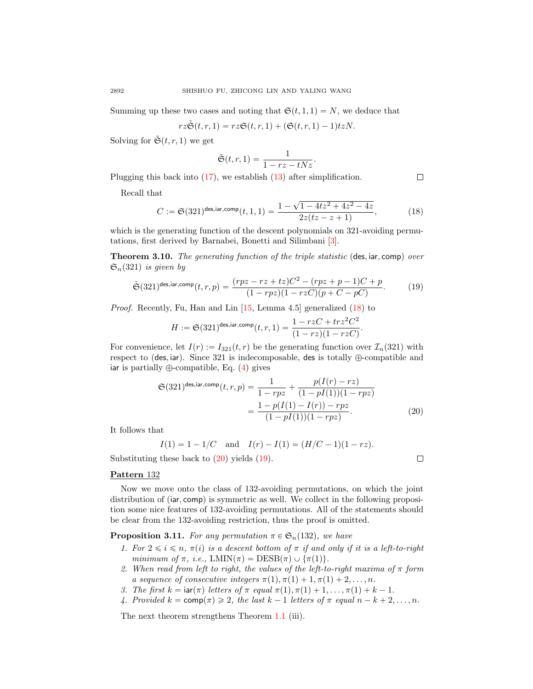Summing up these two cases and noting that  $\mathfrak{S}(t, 1, 1) = N$ , we deduce that

$$
rz\tilde{\mathfrak{S}}(t,r,1)=rz\mathfrak{S}(t,r,1)+(\mathfrak{S}(t,r,1)-1)tzN.
$$

Solving for  $\tilde{\mathfrak{S}}(t, r, 1)$  we get

$$
\tilde{\mathfrak{S}}(t,r,1)=\frac{1}{1-rz-tNz}.
$$

Plugging this back into [\(17\)](#page-14-5), we establish [\(13\)](#page-14-6) after simplification.

Recall that

<span id="page-15-1"></span>
$$
C := \mathfrak{S}(321)^{\text{des,iar,comp}}(t, 1, 1) = \frac{1 - \sqrt{1 - 4tz^2 + 4z^2 - 4z}}{2z(tz - z + 1)},
$$
(18)

<span id="page-15-3"></span> $\Box$ 

<span id="page-15-2"></span> $\Box$ 

which is the generating function of the descent polynomials on 321-avoiding permutations, first derived by Barnabei, Bonetti and Silimbani [\[3\]](#page-35-6).

<span id="page-15-0"></span>**Theorem 3.10.** The generating function of the triple statistic (des, iar, comp) over  $\mathfrak{S}_n(321)$  is given by

$$
\tilde{\mathfrak{S}}(321)^{\text{des,iar,comp}}(t,r,p) = \frac{(rpz - rz + tz)C^2 - (rpz + p - 1)C + p}{(1 - rpz)(1 - rzC)(p + C - pC)}.\tag{19}
$$

Proof. Recently, Fu, Han and Lin [\[15,](#page-36-18) Lemma 4.5] generalized [\(18\)](#page-15-1) to

$$
H := \mathfrak{S}(321)^{\mathsf{des}, \mathsf{iar}, \mathsf{comp}}(t, r, 1) = \frac{1 - rzC + trz^2C^2}{(1 - rz)(1 - rzC)}.
$$

For convenience, let  $I(r) := I_{321}(t, r)$  be the generating function over  $\mathcal{I}_n(321)$  with respect to (des, iar). Since 321 is indecomposable, des is totally  $\oplus$ -compatible and iar is partially  $\oplus$ -compatible, Eq. [\(4\)](#page-7-1) gives

$$
\mathfrak{S}(321)^{\text{des,iar,comp}}(t,r,p) = \frac{1}{1 - rpz} + \frac{p(I(r) - rz)}{(1 - pI(1))(1 - rpz)} = \frac{1 - p(I(1) - I(r)) - rpz}{(1 - pI(1))(1 - rpz)}.
$$
\n(20)

It follows that

$$
I(1) = 1 - 1/C \quad \text{and} \quad I(r) - I(1) = (H/C - 1)(1 - rz).
$$

Substituting these back to  $(20)$  yields  $(19)$ .

Pattern 132

Now we move onto the class of 132-avoiding permutations, on which the joint distribution of  $(iar, comp)$  is symmetric as well. We collect in the following proposition some nice features of 132-avoiding permutations. All of the statements should be clear from the 132-avoiding restriction, thus the proof is omitted.

<span id="page-15-4"></span>**Proposition 3.11.** For any permutation  $\pi \in \mathfrak{S}_n(132)$ , we have

- 1. For  $2 \leq i \leq n$ ,  $\pi(i)$  is a descent bottom of  $\pi$  if and only if it is a left-to-right minimum of  $\pi$ , i.e.,  $LMIN(\pi) = DESB(\pi) \cup {\pi(1)}$ .
- 2. When read from left to right, the values of the left-to-right maxima of  $\pi$  form a sequence of consecutive integers  $\pi(1), \pi(1) + 1, \pi(1) + 2, \ldots, n$ .
- 3. The first  $k = \text{iar}(\pi)$  letters of  $\pi$  equal  $\pi(1), \pi(1) + 1, \ldots, \pi(1) + k 1$ .
- 4. Provided  $k = \text{comp}(\pi) \geq 2$ , the last  $k 1$  letters of  $\pi$  equal  $n k + 2, \ldots, n$ .

The next theorem strengthens Theorem [1.1](#page-2-0) (iii).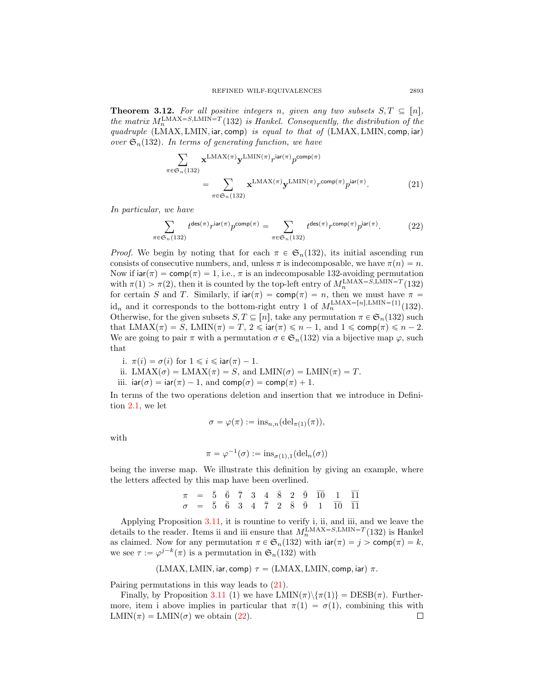<span id="page-16-0"></span>**Theorem 3.12.** For all positive integers n, given any two subsets  $S, T \subseteq [n]$ , the matrix  $M_n^{\text{LMAX}=S,\text{LMIN}=T}(132)$  is Hankel. Consequently, the distribution of the quadruple  $(LMAX, LMIN, iar, comp)$  is equal to that of  $(LMAX, LMIN, comp, iar)$ over  $\mathfrak{S}_n(132)$ . In terms of generating function, we have

<span id="page-16-2"></span><span id="page-16-1"></span>
$$
\sum_{\pi \in \mathfrak{S}_n(132)} \mathbf{x}^{\text{LMAX}(\pi)} \mathbf{y}^{\text{LMIN}(\pi)} r^{\text{iar}(\pi)} p^{\text{comp}(\pi)}
$$
\n
$$
= \sum_{\pi \in \mathfrak{S}_n(132)} \mathbf{x}^{\text{LMAX}(\pi)} \mathbf{y}^{\text{LMIN}(\pi)} r^{\text{comp}(\pi)} p^{\text{iar}(\pi)}.
$$
\n(21)

In particular, we have

$$
\sum_{\pi \in \mathfrak{S}_n(132)} t^{\text{des}(\pi)} r^{\text{iar}(\pi)} p^{\text{comp}(\pi)} = \sum_{\pi \in \mathfrak{S}_n(132)} t^{\text{des}(\pi)} r^{\text{comp}(\pi)} p^{\text{iar}(\pi)}.
$$
 (22)

*Proof.* We begin by noting that for each  $\pi \in \mathfrak{S}_n(132)$ , its initial ascending run consists of consecutive numbers, and, unless  $\pi$  is indecomposable, we have  $\pi(n) = n$ . Now if  $\text{iar}(\pi) = \text{comp}(\pi) = 1$ , i.e.,  $\pi$  is an indecomposable 132-avoiding permutation with  $\pi(1) > \pi(2)$ , then it is counted by the top-left entry of  $M_n^{\text{LMAX}=S,\text{LMIN}=T}(132)$ for certain S and T. Similarly, if  $ar(\pi) = \text{comp}(\pi) = n$ , then we must have  $\pi =$ id<sub>n</sub> and it corresponds to the bottom-right entry 1 of  $M_n^{\text{LMAX}=[n], \text{LMIN}=\{1\}}(132)$ . Otherwise, for the given subsets  $S, T \subseteq [n]$ , take any permutation  $\pi \in \mathfrak{S}_n(132)$  such that  $\text{LMAX}(\pi) = S$ ,  $\text{LMIN}(\pi) = T$ ,  $2 \leq \text{iar}(\pi) \leq n - 1$ , and  $1 \leq \text{comp}(\pi) \leq n - 2$ . We are going to pair  $\pi$  with a permutation  $\sigma \in \mathfrak{S}_n(132)$  via a bijective map  $\varphi$ , such that

- i.  $\pi(i) = \sigma(i)$  for  $1 \leq i \leq \text{iar}(\pi) 1$ .
- ii. LMAX $(\sigma) =$  LMAX $(\pi) = S$ , and LMIN $(\sigma) =$  LMIN $(\pi) = T$ .
- iii.  $\text{iar}(\sigma) = \text{iar}(\pi) 1$ , and  $\text{comp}(\sigma) = \text{comp}(\pi) + 1$ .

In terms of the two operations deletion and insertion that we introduce in Definition [2.1,](#page-6-1) we let

$$
\sigma = \varphi(\pi) := \text{ins}_{n,n}(\text{del}_{\pi(1)}(\pi)),
$$

with

$$
\pi = \varphi^{-1}(\sigma) := \text{ins}_{\sigma(1),1}(\text{del}_n(\sigma))
$$

being the inverse map. We illustrate this definition by giving an example, where the letters affected by this map have been overlined.

> $\pi$  =  $\bar{5}$   $\bar{6}$   $\bar{7}$  3 4  $\bar{8}$  2  $\bar{9}$   $\bar{10}$  1  $\bar{11}$  $\sigma = \bar{5} \bar{6} 3 4 \bar{7} 2 \bar{8} \bar{9} 1 \bar{10} \bar{11}$

Applying Proposition [3.11,](#page-15-4) it is rountine to verify i, ii, and iii, and we leave the details to the reader. Items ii and iii ensure that  $M_n^{\text{LMAX}=S,\text{LMIN}=T}(132)$  is Hankel as claimed. Now for any permutation  $\pi \in \mathfrak{S}_n(132)$  with  $\text{iar}(\pi) = j > \text{comp}(\pi) = k$ , we see  $\tau := \varphi^{j-k}(\pi)$  is a permutation in  $\mathfrak{S}_n(132)$  with

$$
(LMAX, LMIN, iar, comp)
$$
  $\tau = (LMAX, LMIN, comp, iar)$   $\pi$ .

Pairing permutations in this way leads to [\(21\)](#page-16-1).

Finally, by Proposition [3.11](#page-15-4) (1) we have  $LMIN(\pi)\{\pi(1)\} = DESB(\pi)$ . Furthermore, item i above implies in particular that  $\pi(1) = \sigma(1)$ , combining this with  $LMIN(\pi) = LMIN(\sigma)$  we obtain [\(22\)](#page-16-2).  $\Box$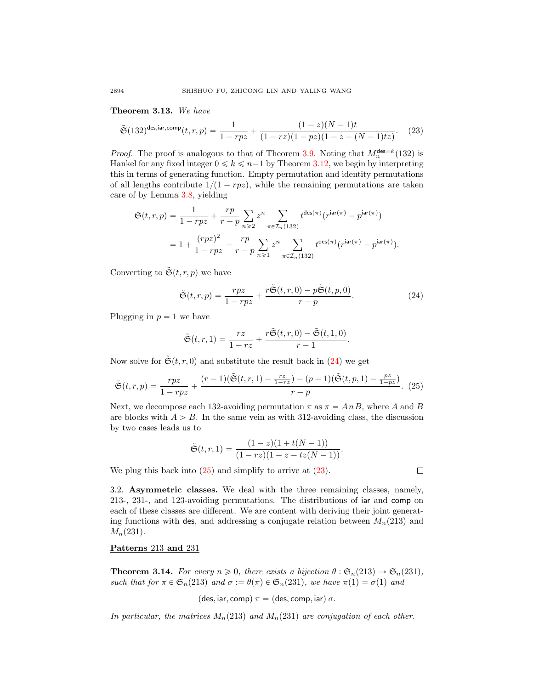<span id="page-17-0"></span>Theorem 3.13. We have

$$
\tilde{\mathfrak{S}}(132)^{\mathrm{des},\mathrm{iar},\mathrm{comp}}(t,r,p) = \frac{1}{1-rpz} + \frac{(1-z)(N-1)t}{(1-rz)(1-pz)(1-z-(N-1)tz)}.\tag{23}
$$

*Proof.* The proof is analogous to that of Theorem [3.9.](#page-14-0) Noting that  $M_n^{\text{des}=k}(132)$  is Hankel for any fixed integer  $0 \leq k \leq n-1$  by Theorem [3.12,](#page-16-0) we begin by interpreting this in terms of generating function. Empty permutation and identity permutations of all lengths contribute  $1/(1 - rpz)$ , while the remaining permutations are taken care of by Lemma [3.8,](#page-13-0) yielding

$$
\mathfrak{S}(t,r,p) = \frac{1}{1-rpz} + \frac{rp}{r-p} \sum_{n\geqslant 2} z^n \sum_{\pi \in \mathcal{I}_n(132)} t^{\text{des}(\pi)}(r^{\text{iar}(\pi)} - p^{\text{iar}(\pi)})
$$

$$
= 1 + \frac{(rpz)^2}{1-rpz} + \frac{rp}{r-p} \sum_{n\geqslant 1} z^n \sum_{\pi \in \mathcal{I}_n(132)} t^{\text{des}(\pi)}(r^{\text{iar}(\pi)} - p^{\text{iar}(\pi)}).
$$

Converting to  $\tilde{\mathfrak{S}}(t,r,p)$  we have

<span id="page-17-4"></span>
$$
\tilde{\mathfrak{S}}(t,r,p) = \frac{rpz}{1 - rpz} + \frac{r\tilde{\mathfrak{S}}(t,r,0) - p\tilde{\mathfrak{S}}(t,p,0)}{r - p}.
$$
\n(24)

Plugging in  $p = 1$  we have

$$
\tilde{\mathfrak{S}}(t,r,1)=\frac{rz}{1-rz}+\frac{r\tilde{\mathfrak{S}}(t,r,0)-\tilde{\mathfrak{S}}(t,1,0)}{r-1}.
$$

Now solve for  $\tilde{\mathfrak{S}}(t, r, 0)$  and substitute the result back in [\(24\)](#page-17-2) we get

$$
\tilde{\mathfrak{S}}(t,r,p) = \frac{rpz}{1-rpz} + \frac{(r-1)(\tilde{\mathfrak{S}}(t,r,1) - \frac{rz}{1-rz}) - (p-1)(\tilde{\mathfrak{S}}(t,p,1) - \frac{pz}{1-pz})}{r-p}.
$$
(25)

Next, we decompose each 132-avoiding permutation  $\pi$  as  $\pi = AnB$ , where A and B are blocks with  $A > B$ . In the same vein as with 312-avoiding class, the discussion by two cases leads us to

$$
\tilde{\mathfrak{S}}(t,r,1)=\frac{(1-z)(1+t(N-1))}{(1-rz)(1-z-tz(N-1))}.
$$

We plug this back into  $(25)$  and simplify to arrive at  $(23)$ .

3.2. Asymmetric classes. We deal with the three remaining classes, namely, 213-, 231-, and 123-avoiding permutations. The distributions of iar and comp on each of these classes are different. We are content with deriving their joint generating functions with des, and addressing a conjugate relation between  $M_n(213)$  and  $M_n(231)$ .

Patterns 213 and 231

<span id="page-17-1"></span>**Theorem 3.14.** For every  $n \geq 0$ , there exists a bijection  $\theta : \mathfrak{S}_n(213) \to \mathfrak{S}_n(231)$ , such that for  $\pi \in \mathfrak{S}_n(213)$  and  $\sigma := \theta(\pi) \in \mathfrak{S}_n(231)$ , we have  $\pi(1) = \sigma(1)$  and

$$
(\mathsf{des}, \mathsf{iar}, \mathsf{comp}) \; \pi = (\mathsf{des}, \mathsf{comp}, \mathsf{iar}) \; \sigma.
$$

In particular, the matrices  $M_n(213)$  and  $M_n(231)$  are conjugation of each other.

<span id="page-17-3"></span><span id="page-17-2"></span>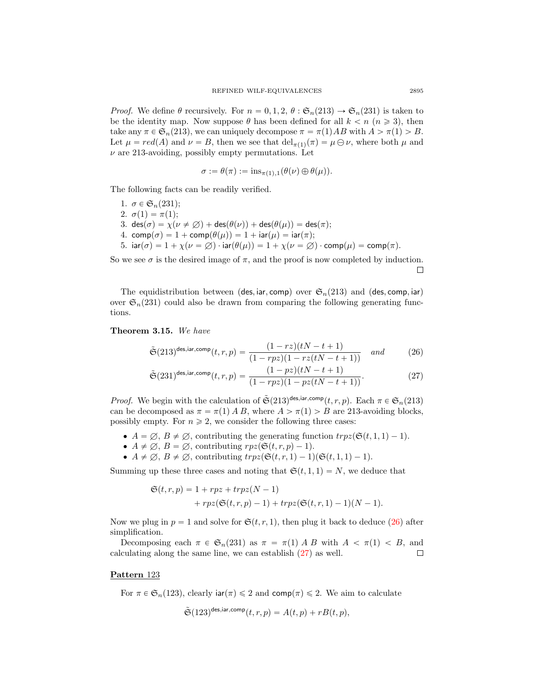*Proof.* We define  $\theta$  recursively. For  $n = 0, 1, 2, \theta : \mathfrak{S}_n(213) \to \mathfrak{S}_n(231)$  is taken to be the identity map. Now suppose  $\theta$  has been defined for all  $k < n \ (n \geq 3)$ , then take any  $\pi \in \mathfrak{S}_n(213)$ , we can uniquely decompose  $\pi = \pi(1)AB$  with  $A > \pi(1) > B$ . Let  $\mu = red(A)$  and  $\nu = B$ , then we see that  $\text{del}_{\pi(1)}(\pi) = \mu \ominus \nu$ , where both  $\mu$  and  $\nu$  are 213-avoiding, possibly empty permutations. Let

$$
\sigma := \theta(\pi) := \mathrm{ins}_{\pi(1),1}(\theta(\nu) \oplus \theta(\mu)).
$$

The following facts can be readily verified.

1.  $\sigma \in \mathfrak{S}_n(231);$ 2.  $\sigma(1) = \pi(1);$ 3. des $(\sigma) = \chi(\nu \neq \emptyset) + \text{des}(\theta(\nu)) + \text{des}(\theta(\mu)) = \text{des}(\pi);$ 4. comp $(\sigma) = 1 + \text{comp}(\theta(\mu)) = 1 + \text{iar}(\mu) = \text{iar}(\pi);$ 5.  $\text{iar}(\sigma) = 1 + \chi(\nu = \emptyset) \cdot \text{iar}(\theta(\mu)) = 1 + \chi(\nu = \emptyset) \cdot \text{comp}(\mu) = \text{comp}(\pi)$ .

So we see  $\sigma$  is the desired image of  $\pi$ , and the proof is now completed by induction. □

The equidistribution between (des, iar, comp) over  $\mathfrak{S}_n(213)$  and (des, comp, iar) over  $\mathfrak{S}_n(231)$  could also be drawn from comparing the following generating functions.

<span id="page-18-0"></span>Theorem 3.15. We have

<span id="page-18-1"></span>
$$
\tilde{\mathfrak{S}}(213)^{\text{des,iar,comp}}(t,r,p) = \frac{(1-rz)(tN-t+1)}{(1-rpz)(1-rz(tN-t+1))} \quad and \tag{26}
$$

<span id="page-18-2"></span>
$$
\tilde{\mathfrak{S}}(231)^{\text{des,iar,comp}}(t,r,p) = \frac{(1-pz)(tN-t+1)}{(1-rpz)(1-pz(tN-t+1))}.
$$
\n(27)

*Proof.* We begin with the calculation of  $\tilde{G}(213)^{\text{des,iar,comp}}(t,r,p)$ . Each  $\pi \in \mathfrak{S}_n(213)$ can be decomposed as  $\pi = \pi(1)$  A B, where  $A > \pi(1) > B$  are 213-avoiding blocks, possibly empty. For  $n \geq 2$ , we consider the following three cases:

- $A = \emptyset, B \neq \emptyset$ , contributing the generating function  $trpz(\mathfrak{S}(t, 1, 1)-1)$ .
- $A \neq \emptyset$ ,  $B = \emptyset$ , contributing  $rpz(\mathfrak{S}(t, r, p) 1)$ .
- $A \neq \emptyset$ ,  $B \neq \emptyset$ , contributing  $trpz(\mathfrak{S}(t, r, 1)-1)(\mathfrak{S}(t, 1, 1)-1)$ .

Summing up these three cases and noting that  $\mathfrak{S}(t, 1, 1) = N$ , we deduce that

$$
\mathfrak{S}(t,r,p) = 1 + rpz + trpz(N-1)
$$
  
+ 
$$
rpz(\mathfrak{S}(t,r,p) - 1) + trpz(\mathfrak{S}(t,r,1) - 1)(N-1).
$$

Now we plug in  $p = 1$  and solve for  $\mathfrak{S}(t, r, 1)$ , then plug it back to deduce [\(26\)](#page-18-1) after simplification.

Decomposing each  $\pi \in \mathfrak{S}_n(231)$  as  $\pi = \pi(1)$  A B with  $A < \pi(1) < B$ , and calculating along the same line, we can establish [\(27\)](#page-18-2) as well.  $\Box$ 

# Pattern 123

For  $\pi \in \mathfrak{S}_n(123)$ , clearly  $\text{iar}(\pi) \leq 2$  and  $\text{comp}(\pi) \leq 2$ . We aim to calculate

$$
\tilde{\mathfrak{S}}(123)^{\mathsf{des}, \mathsf{iar}, \mathsf{comp}}(t, r, p) = A(t, p) + rB(t, p),
$$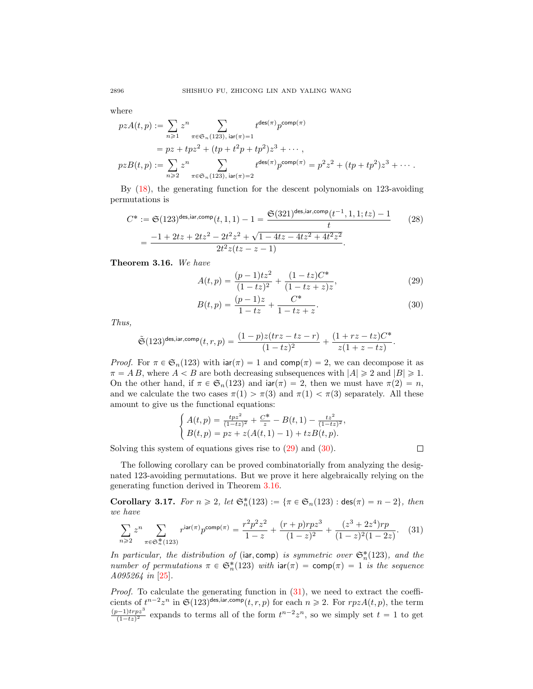where

$$
pzA(t,p) := \sum_{n\geq 1} z^n \sum_{\pi \in \mathfrak{S}_n(123), \text{ iar}(\pi)=1} t^{\deg(\pi)} p^{\text{comp}(\pi)}
$$
  
=  $pz + tpz^2 + (tp + t^2p + tp^2)z^3 + \cdots$ ,  
 $pzB(t,p) := \sum_{n\geq 2} z^n \sum_{\pi \in \mathfrak{S}_n(123), \text{ iar}(\pi)=2} t^{\deg(\pi)} p^{\text{comp}(\pi)} = p^2 z^2 + (tp + tp^2)z^3 + \cdots$ .

By [\(18\)](#page-15-1), the generating function for the descent polynomials on 123-avoiding permutations is

$$
C^* := \mathfrak{S}(123)^{\text{des,iar,comp}}(t, 1, 1) - 1 = \frac{\mathfrak{S}(321)^{\text{des,iar,comp}}(t^{-1}, 1, 1; tz) - 1}{t}
$$
(28)  
= 
$$
\frac{-1 + 2tz + 2tz^2 - 2t^2z^2 + \sqrt{1 - 4tz - 4tz^2 + 4t^2z^2}}{2t^2z(tz - z - 1)}.
$$

<span id="page-19-0"></span>Theorem 3.16. We have

<span id="page-19-1"></span>
$$
A(t,p) = \frac{(p-1)tz^2}{(1-tz)^2} + \frac{(1-tz)C^*}{(1-tz+z)z},
$$
\n(29)

$$
B(t,p) = \frac{(p-1)z}{1-tz} + \frac{C^*}{1-tz+z}.
$$
\n(30)

Thus,

$$
\tilde{\mathfrak{S}}(123)^{\mathsf{des}, \mathsf{iar}, \mathsf{comp}}(t,r,p) = \frac{(1-p)z(trz - tz - r)}{(1-tz)^2} + \frac{(1+rz-tz)C^*}{z(1+z-tz)}.
$$

*Proof.* For  $\pi \in \mathfrak{S}_n(123)$  with  $\text{iar}(\pi) = 1$  and  $\text{comp}(\pi) = 2$ , we can decompose it as  $\pi = AB$ , where  $A < B$  are both decreasing subsequences with  $|A| \geq 2$  and  $|B| \geq 1$ . On the other hand, if  $\pi \in \mathfrak{S}_n(123)$  and  $\text{iar}(\pi) = 2$ , then we must have  $\pi(2) = n$ , and we calculate the two cases  $\pi(1) > \pi(3)$  and  $\pi(1) < \pi(3)$  separately. All these amount to give us the functional equations:

$$
\begin{cases}\nA(t,p) = \frac{tpz^2}{(1-tz)^2} + \frac{C^*}{z} - B(t,1) - \frac{tz^2}{(1-tz)^2}, \\
B(t,p) = pz + z(A(t,1) - 1) + tzB(t,p).\n\end{cases}
$$

Solving this system of equations gives rise to  $(29)$  and  $(30)$ .

<span id="page-19-4"></span><span id="page-19-3"></span><span id="page-19-2"></span> $\Box$ 

The following corollary can be proved combinatorially from analyzing the designated 123-avoiding permutations. But we prove it here algebraically relying on the generating function derived in Theorem [3.16.](#page-19-0)

**Corollary 3.17.** For  $n \ge 2$ , let  $\mathfrak{S}_n^*(123) := {\pi \in \mathfrak{S}_n(123) : \text{des}(\pi) = n - 2}$ , then we have

$$
\sum_{n\geqslant 2} z^n \sum_{\pi\in\mathfrak{S}_n^*(123)} r^{\mathsf{iar}(\pi)} p^{\mathsf{comp}(\pi)} = \frac{r^2 p^2 z^2}{1-z} + \frac{(r+p) r p z^3}{(1-z)^2} + \frac{(z^3 + 2z^4) r p}{(1-z)^2 (1-2z)}. \tag{31}
$$

In particular, the distribution of (iar, comp) is symmetric over  $\mathfrak{S}_n^*(123)$ , and the number of permutations  $\pi \in \mathfrak{S}_n^*(123)$  with  $\text{iar}(\pi) = \text{comp}(\pi) = 1$  is the sequence A095264 in [\[25\]](#page-36-19).

*Proof.* To calculate the generating function in  $(31)$ , we need to extract the coefficients of  $t^{n-2}z^n$  in  $\mathfrak{S}(123)^{\text{des}, \text{iar}, \text{comp}}(t, r, p)$  for each  $n \geq 2$ . For  $rpzA(t, p)$ , the term  $(p-1)$ trpz<sup>3</sup>  $\frac{p-1}{(1-tz)^2}$  expands to terms all of the form  $t^{n-2}z^n$ , so we simply set  $t = 1$  to get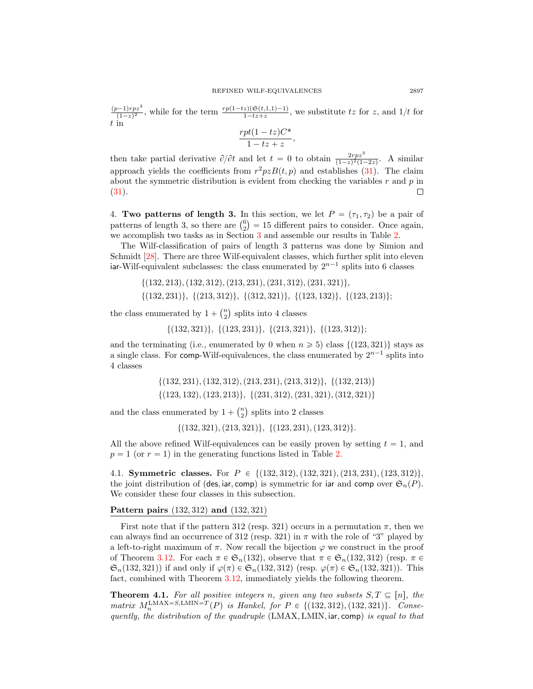$(p-1)rpz<sup>3</sup>$  $\frac{p-1)rpz^3}{(1-z)^2}$ , while for the term  $\frac{rp(1-tz)(\mathfrak{S}(t,1,1)-1)}{1-tz+z}$ , we substitute tz for z, and  $1/t$  for t in

$$
\frac{rpt(1-tz)C^*}{1-tz+z},
$$

then take partial derivative  $\partial/\partial t$  and let  $t = 0$  to obtain  $\frac{2rpz^3}{(1-z)^2(1-2z)}$ . A similar approach yields the coefficients from  $r^2pzB(t, p)$  and establishes [\(31\)](#page-19-4). The claim about the symmetric distribution is evident from checking the variables  $r$  and  $p$  in [\(31\)](#page-19-4). П

<span id="page-20-0"></span>4. Two patterns of length 3. In this section, we let  $P = (\tau_1, \tau_2)$  be a pair of 4. Two patterns of length 3. In this section, we let  $P = (\tau_1, \tau_2)$  be a pair of patterns of length 3, so there are  $\binom{6}{2} = 15$  different pairs to consider. Once again, we accomplish two tasks as in Section [3](#page-8-1) and assemble our results in Table [2.](#page-21-0)

The Wilf-classification of pairs of length 3 patterns was done by Simion and Schmidt [\[28\]](#page-36-1). There are three Wilf-equivalent classes, which further split into eleven iar-Wilf-equivalent subclasses: the class enumerated by  $2^{n-1}$  splits into 6 classes

- $\{(132, 213), (132, 312), (213, 231), (231, 312), (231, 321)\},\$
- $\{(132, 231)\}, \{(213, 312)\}, \{(312, 321)\}, \{(123, 132)\}, \{(123, 213)\};$ ˘

the class enumerated by  $1 +$  $\binom{n}{2}$ splits into 4 classes

 $\{(132, 321)\}, \{(123, 231)\}, \{(213, 321)\}, \{(123, 312)\};$ 

and the terminating (i.e., enumerated by 0 when  $n \geq 5$ ) class {(123, 321)} stays as a single class. For comp-Wilf-equivalences, the class enumerated by  $2^{n-1}$  splits into 4 classes

> $\{(132, 231), (132, 312), (213, 231), (213, 312)\}, \{(132, 213)\}\$  $\{(123, 132), (123, 213)\}, \{(231, 312), (231, 321), (312, 321)\}\$

and the class enumerated by  $1 +$  $\binom{n}{2}$ splits into 2 classes

 $\{(132, 321), (213, 321)\}, \{(123, 231), (123, 312)\}.$ 

All the above refined Wilf-equivalences can be easily proven by setting  $t = 1$ , and  $p = 1$  (or  $r = 1$ ) in the generating functions listed in Table [2.](#page-21-0)

4.1. Symmetric classes. For  $P \in \{(132, 312), (132, 321), (213, 231), (123, 312)\},\$ the joint distribution of (des, iar, comp) is symmetric for iar and comp over  $\mathfrak{S}_n(P)$ . We consider these four classes in this subsection.

Pattern pairs  $(132, 312)$  and  $(132, 321)$ 

First note that if the pattern 312 (resp. 321) occurs in a permutation  $\pi$ , then we can always find an occurrence of 312 (resp. 321) in  $\pi$  with the role of "3" played by a left-to-right maximum of  $\pi$ . Now recall the bijection  $\varphi$  we construct in the proof of Theorem [3.12.](#page-16-0) For each  $\pi \in \mathfrak{S}_n(132)$ , observe that  $\pi \in \mathfrak{S}_n(132, 312)$  (resp.  $\pi \in$  $\mathfrak{S}_n(132, 321)$  if and only if  $\varphi(\pi) \in \mathfrak{S}_n(132, 312)$  (resp.  $\varphi(\pi) \in \mathfrak{S}_n(132, 321)$ ). This fact, combined with Theorem [3.12,](#page-16-0) immediately yields the following theorem.

<span id="page-20-1"></span>**Theorem 4.1.** For all positive integers n, given any two subsets  $S, T \subseteq [n]$ , the matrix  $M_n^{\text{LMAX}=S,\text{LMIN}=T}(P)$  is Hankel, for  $P \in \{(132, 312), (132, 321)\}.$  Consequently, the distribution of the quadruple  $(LMAX, LMIN, iar, comp)$  is equal to that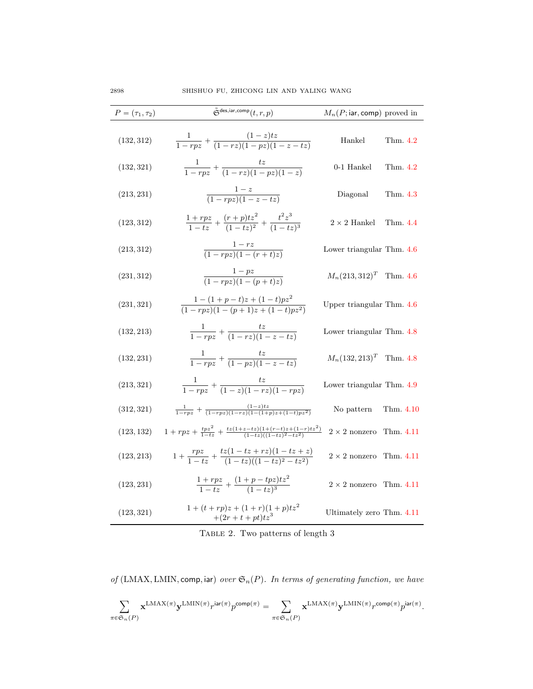| $P = (\tau_1, \tau_2)$ | $\tilde{\mathfrak{S}}^{\text{des,iar,comp}}(t,r,p)$                                     | $M_n(P; \text{iar}, \text{comp})$ proved in |
|------------------------|-----------------------------------------------------------------------------------------|---------------------------------------------|
| (132, 312)             | $\frac{1}{1-rnz} + \frac{(1-z)tz}{(1-rz)(1-nz)(1-z-tz)}$                                | Hankel<br>Thm. 4.2                          |
| (132, 321)             | $\frac{1}{1-rpz} + \frac{tz}{(1-rz)(1-pz)(1-z)}$                                        | $0-1$ Hankel<br>Thm. 4.2                    |
| (213, 231)             | $\frac{1-z}{(1-rpz)(1-z-tz)}$                                                           | Diagonal<br>Thm. 4.3                        |
| (123, 312)             | $\frac{1+rpz}{1-tz}+\frac{(r+p)tz^2}{(1-tz)^2}+\frac{t^2z^3}{(1-tz)^3}$                 | $2\times 2$ Hankel<br>Thm. 4.4              |
| (213, 312)             | $\frac{1-rz}{(1-rpz)(1-(r+t)z)}$                                                        | Lower triangular Thm. 4.6                   |
| (231, 312)             | $\frac{1-pz}{(1-rpz)(1-(p+t)z)}$                                                        | $M_n(213,312)^T$ Thm. 4.6                   |
| (231, 321)             | $\frac{1-(1+p-t)z+(1-t)pz^2}{(1-rpz)(1-(p+1)z+(1-t)pz^2)}$                              | Upper triangular Thm. 4.6                   |
| (132, 213)             | $\frac{1}{1-rpz} + \frac{tz}{(1-rz)(1-z-tz)}$                                           | Lower triangular Thm. 4.8                   |
| (132, 231)             | $\frac{1}{1 - rpz} + \frac{tz}{(1 - pz)(1 - z - tz)}$                                   | $M_n(132, 213)^T$ Thm. 4.8                  |
| (213, 321)             | $\frac{1}{1-rpz} + \frac{tz}{(1-z)(1-rz)(1-rpz)}$                                       | Lower triangular Thm. 4.9                   |
| (312, 321)             | $\frac{1}{1-rnz} + \frac{(1-z)tz}{(1-rnz)(1-rz)(1-(1+p)z+(1-t)pz^2)}$                   | Thm. 4.10<br>No pattern                     |
| (123, 132)             | $1+rpz+\frac{tpz^2}{1-tz}+\frac{tz(1+z-tz)(1+(r-t)z+(1-r)tz^2)}{(1-tz)((1-tz)^2-tz^2)}$ | $2\times 2$ nonzero<br>Thm. 4.11            |
| (123, 213)             | $1+\frac{rpz}{1-tz}+\frac{tz(1-tz+rz)(1-tz+z)}{(1-tz)(1-tz)^2-tz^2}$                    | $2 \times 2$ nonzero Thm. 4.11              |
| (123, 231)             | $\frac{1+rpz}{1-tz} + \frac{(1+p-tpz)tz^2}{(1-tz)^3}$                                   | $2 \times 2$ nonzero Thm. 4.11              |
| (123, 321)             | $1 + (t + rp)z + (1 + r)(1 + p)tz^2$<br>$+(2r+t+pt)tz3$                                 | Ultimately zero Thm. 4.11                   |

<span id="page-21-0"></span>TABLE 2. Two patterns of length  $3$ 

of (LMAX, LMIN, comp, iar) over  $\mathfrak{S}_n(P).$  In terms of generating function, we have

$$
\sum_{\pi \in \mathfrak{S}_n(P)} \mathbf{x}^{\mathrm{LMAX}(\pi)} \mathbf{y}^{\mathrm{LMIN}(\pi)} r^{\mathrm{iar}(\pi)} p^{\mathrm{comp}(\pi)} = \sum_{\pi \in \mathfrak{S}_n(P)} \mathbf{x}^{\mathrm{LMAX}(\pi)} \mathbf{y}^{\mathrm{LMIN}(\pi)} r^{\mathrm{comp}(\pi)} p^{\mathrm{iar}(\pi)}.
$$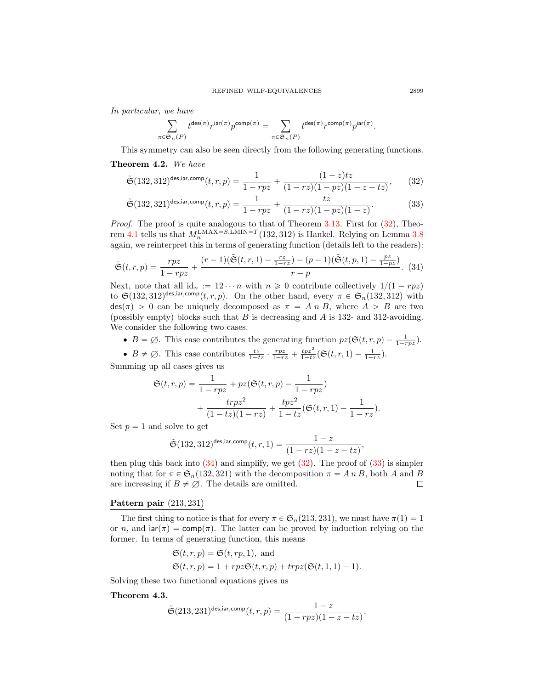In particular, we have

<span id="page-22-4"></span><span id="page-22-2"></span>
$$
\sum_{\pi \in \mathfrak{S}_n(P)} t^{\mathrm{des}(\pi)} r^{\mathrm{iar}(\pi)} p^{\mathrm{comp}(\pi)} = \sum_{\pi \in \mathfrak{S}_n(P)} t^{\mathrm{des}(\pi)} r^{\mathrm{comp}(\pi)} p^{\mathrm{iar}(\pi)}.
$$

This symmetry can also be seen directly from the following generating functions.

# <span id="page-22-0"></span>Theorem 4.2. We have

$$
\tilde{\mathfrak{S}}(132,312)^{\text{des,iar,comp}}(t,r,p) = \frac{1}{1-rpz} + \frac{(1-z)tz}{(1-rz)(1-pz)(1-z-tz)},\qquad(32)
$$

$$
\tilde{\mathfrak{S}}(132,321)^{\text{des,iar,comp}}(t,r,p) = \frac{1}{1-rpz} + \frac{tz}{(1-rz)(1-pz)(1-z)}.
$$
\n(33)

*Proof.* The proof is quite analogous to that of Theorem  $3.13$ . First for  $(32)$ , Theo-rem [4.1](#page-20-1) tells us that  $M_n^{\text{LMAX}=S,\text{LMIN}=T}(132,312)$  is Hankel. Relying on Lemma [3.8](#page-13-0) again, we reinterpret this in terms of generating function (details left to the readers):

$$
\tilde{\mathfrak{S}}(t,r,p) = \frac{rpz}{1 - rpz} + \frac{(r-1)(\tilde{\mathfrak{S}}(t,r,1) - \frac{rz}{1 - rz}) - (p-1)(\tilde{\mathfrak{S}}(t,p,1) - \frac{pz}{1 - pz})}{r - p}.
$$
 (34)

Next, note that all  $id_n := 12 \cdots n$  with  $n \geq 0$  contribute collectively  $1/(1 - rpz)$ to  $\mathfrak{S}(132, 312)^{\text{des}, \text{iar}, \text{comp}}(t, r, p)$ . On the other hand, every  $\pi \in \mathfrak{S}_n(132, 312)$  with  $\text{des}(\pi) > 0$  can be uniquely decomposed as  $\pi = A n B$ , where  $A > B$  are two (possibly empty) blocks such that  $B$  is decreasing and  $A$  is 132- and 312-avoiding. We consider the following two cases.

- $B = \emptyset$ . This case contributes the generating function  $pz(\mathfrak{S}(t, r, p) \frac{1}{1 rpz})$ .
- $B \neq \emptyset$ . This case contributes  $\frac{tz}{1-tz} \cdot \frac{rpz}{1-rz} + \frac{tpz^2}{1-tz}(\mathfrak{S}(t,r,1) \frac{1}{1-rz}).$

Summing up all cases gives us

<span id="page-22-3"></span>
$$
\mathfrak{S}(t,r,p) = \frac{1}{1-rpz} + pz(\mathfrak{S}(t,r,p) - \frac{1}{1-rpz}) + \frac{trpz^2}{(1-tz)(1-rz)} + \frac{tpz^2}{1-tz}(\mathfrak{S}(t,r,1) - \frac{1}{1-rz}).
$$

Set  $p = 1$  and solve to get

$$
\tilde{\mathfrak{S}}(132,312)^{\mathrm{des},\mathrm{iar},\mathrm{comp}}(t,r,1)=\frac{1-z}{(1-rz)(1-z-tz)},
$$

then plug this back into  $(34)$  and simplify, we get  $(32)$ . The proof of  $(33)$  is simpler noting that for  $\pi \in \mathfrak{S}_n(132, 321)$  with the decomposition  $\pi = A n B$ , both A and B are increasing if  $B \neq \emptyset$ . The details are omitted.  $\Box$ 

# Pattern pair  $(213, 231)$

The first thing to notice is that for every  $\pi \in \mathfrak{S}_n(213, 231)$ , we must have  $\pi(1) = 1$ or n, and  $\text{iar}(\pi) = \text{comp}(\pi)$ . The latter can be proved by induction relying on the former. In terms of generating function, this means

$$
\mathfrak{S}(t,r,p) = \mathfrak{S}(t, rp, 1), \text{ and}
$$
  

$$
\mathfrak{S}(t,r,p) = 1 + rpz \mathfrak{S}(t,r,p) + trpz (\mathfrak{S}(t, 1, 1) - 1).
$$

Solving these two functional equations gives us

# <span id="page-22-1"></span>Theorem 4.3.

$$
\tilde{\mathfrak{S}}(213,231)^{\mathsf{des}, \mathsf{iar}, \mathsf{comp}}(t,r,p) = \frac{1-z}{(1-rpz)(1-z-tz)}.
$$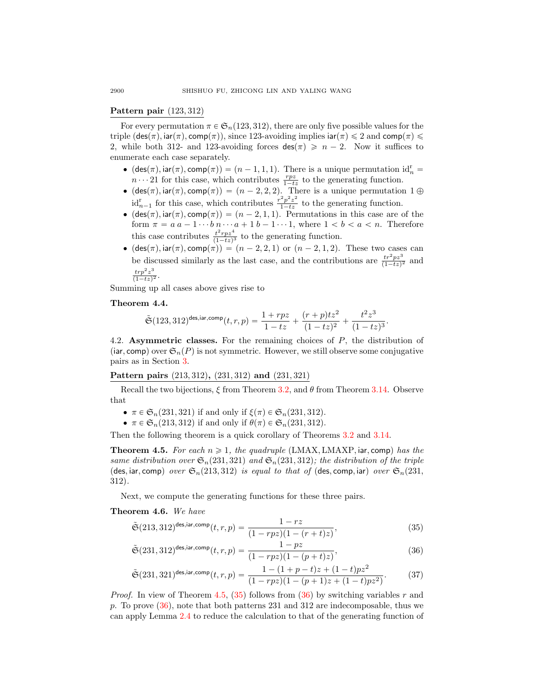# Pattern pair  $(123, 312)$

For every permutation  $\pi \in \mathfrak{S}_n(123, 312)$ , there are only five possible values for the triple  $(\text{des}(\pi), \text{iar}(\pi), \text{comp}(\pi))$ , since 123-avoiding implies  $\text{iar}(\pi) \leq 2$  and  $\text{comp}(\pi) \leq$ 2, while both 312- and 123-avoiding forces  $\text{des}(\pi) \geq n - 2$ . Now it suffices to enumerate each case separately.

- $\bullet$  (des $(\pi)$ , iar $(\pi)$ , comp $(\pi)$ ) =  $(n 1, 1, 1)$ . There is a unique permutation id $_n^r$  =  $n \cdots 21$  for this case, which contributes  $\frac{rpz}{1-tz}$  to the generating function.
- $\bullet$  (des $(\pi)$ , iar $(\pi)$ , comp $(\pi)$ ) =  $(n 2, 2, 2)$ . There is a unique permutation 1  $\oplus$  $id_{n-1}^r$  for this case, which contributes  $\frac{r^2 p^2 z^2}{1-tz}$  to the generating function.
- $\bullet$  (des $(\pi)$ , iar $(\pi)$ , comp $(\pi)$ ) =  $(n 2, 1, 1)$ . Permutations in this case are of the form  $\pi = a a - 1 \cdots b n \cdots a + 1 b - 1 \cdots 1$ , where  $1 < b < a < n$ . Therefore this case contributes  $\frac{t^2 r p z^4}{(1-t^2)}$  $\frac{t^r r p z^r}{(1-tz)^3}$  to the generating function.
- $\bullet$  (des $(\pi)$ , iar $(\pi)$ , comp $(\pi)$ ) =  $(n 2, 2, 1)$  or  $(n 2, 1, 2)$ . These two cases can be discussed similarly as the last case, and the contributions are  $\frac{tr^2pz^3}{(1-tz)^2}$  and  $trp^2z^3$  $\frac{trp-z^2}{(1-tz)^2}.$

Summing up all cases above gives rise to

#### <span id="page-23-0"></span>Theorem 4.4.

$$
\tilde{\mathfrak{S}}(123,312)^{\mathsf{des},\mathsf{iar},\mathsf{comp}}(t,r,p) = \frac{1+rpz}{1-tz} + \frac{(r+p)tz^2}{(1-tz)^2} + \frac{t^2z^3}{(1-tz)^3}.
$$

4.2. Asymmetric classes. For the remaining choices of  $P$ , the distribution of (iar, comp) over  $\mathfrak{S}_n(P)$  is not symmetric. However, we still observe some conjugative pairs as in Section [3.](#page-8-1)

## Pattern pairs  $(213, 312)$ ,  $(231, 312)$  and  $(231, 321)$

Recall the two bijections,  $\xi$  from Theorem [3.2,](#page-10-0) and  $\theta$  from Theorem [3.14.](#page-17-1) Observe that

- $\pi \in \mathfrak{S}_n(231, 321)$  if and only if  $\xi(\pi) \in \mathfrak{S}_n(231, 312)$ .
- $\pi \in \mathfrak{S}_n(213, 312)$  if and only if  $\theta(\pi) \in \mathfrak{S}_n(231, 312)$ .

Then the following theorem is a quick corollary of Theorems [3.2](#page-10-0) and [3.14.](#page-17-1)

<span id="page-23-2"></span>**Theorem 4.5.** For each  $n \geq 1$ , the quadruple (LMAX, LMAXP, iar, comp) has the same distribution over  $\mathfrak{S}_n(231, 321)$  and  $\mathfrak{S}_n(231, 312)$ ; the distribution of the triple (des, iar, comp) over  $\mathfrak{S}_n(213, 312)$  is equal to that of (des, comp, iar) over  $\mathfrak{S}_n(231, 12)$  $312$ .

Next, we compute the generating functions for these three pairs.

# <span id="page-23-1"></span>Theorem 4.6. We have

<span id="page-23-3"></span>
$$
\tilde{\mathfrak{S}}(213,312)^{\text{des,iar,comp}}(t,r,p) = \frac{1-rz}{(1-rpz)(1-(r+t)z)},\tag{35}
$$

<span id="page-23-4"></span>
$$
\tilde{\mathfrak{S}}(231,312)^{\text{des,iar,comp}}(t,r,p) = \frac{1-pz}{(1-rpz)(1-(p+t)z)},\tag{36}
$$

<span id="page-23-5"></span>
$$
\tilde{\mathfrak{S}}(231,321)^{\text{des,iar,comp}}(t,r,p) = \frac{1 - (1 + p - t)z + (1 - t)pz^2}{(1 - rpz)(1 - (p + 1)z + (1 - t)pz^2)}.\tag{37}
$$

*Proof.* In view of Theorem [4.5,](#page-23-2) [\(35\)](#page-23-3) follows from [\(36\)](#page-23-4) by switching variables r and p. To prove  $(36)$ , note that both patterns 231 and 312 are indecomposable, thus we can apply Lemma [2.4](#page-7-2) to reduce the calculation to that of the generating function of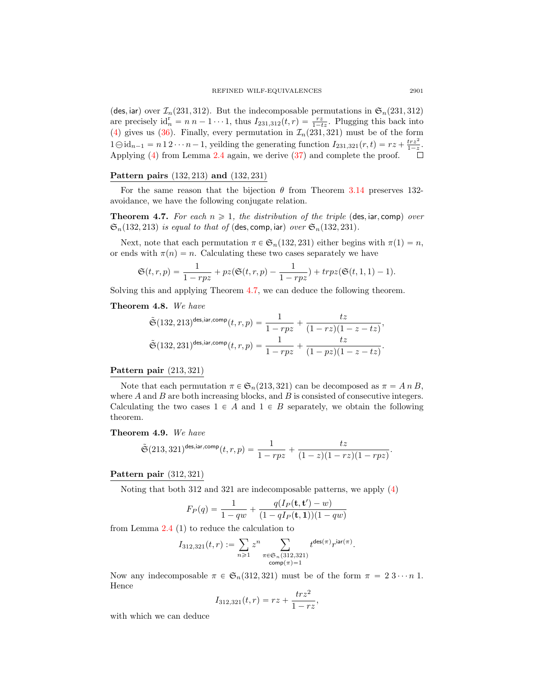(des, iar) over  $\mathcal{I}_n(231, 312)$ . But the indecomposable permutations in  $\mathfrak{S}_n(231, 312)$ are precisely  $id_n^r = n n - 1 \cdots 1$ , thus  $I_{231,312}(t,r) = \frac{rz}{1-tz}$ . Plugging this back into [\(4\)](#page-7-1) gives us [\(36\)](#page-23-4). Finally, every permutation in  $\mathcal{I}_n(231, 321)$  must be of the form  $1 \ominus id_{n-1} = n 1 2 \cdots n - 1$ , yeilding the generating function  $I_{231,321}(r,t) = rz + \frac{trz^2}{1-z}$ . Applying [\(4\)](#page-7-1) from Lemma [2.4](#page-7-2) again, we derive [\(37\)](#page-23-5) and complete the proof.

# Pattern pairs  $(132, 213)$  and  $(132, 231)$

For the same reason that the bijection  $\theta$  from Theorem [3.14](#page-17-1) preserves 132avoidance, we have the following conjugate relation.

<span id="page-24-2"></span>**Theorem 4.7.** For each  $n \geq 1$ , the distribution of the triple (des, iar, comp) over  $\mathfrak{S}_n(132, 213)$  is equal to that of (des, comp, iar) over  $\mathfrak{S}_n(132, 231)$ .

Next, note that each permutation  $\pi \in \mathfrak{S}_n(132, 231)$  either begins with  $\pi(1) = n$ , or ends with  $\pi(n) = n$ . Calculating these two cases separately we have

$$
\mathfrak{S}(t,r,p) = \frac{1}{1-rpz} + pz(\mathfrak{S}(t,r,p) - \frac{1}{1-rpz}) + trpz(\mathfrak{S}(t,1,1) - 1).
$$

Solving this and applying Theorem [4.7,](#page-24-2) we can deduce the following theorem.

# <span id="page-24-0"></span>Theorem 4.8. We have

$$
\tilde{\mathfrak{S}}(132, 213)^{\text{des,iar,comp}}(t, r, p) = \frac{1}{1 - rpz} + \frac{tz}{(1 - rz)(1 - z - tz)},
$$
  

$$
\tilde{\mathfrak{S}}(132, 231)^{\text{des,iar,comp}}(t, r, p) = \frac{1}{1 - rpz} + \frac{tz}{(1 - pz)(1 - z - tz)}.
$$

#### Pattern pair  $(213, 321)$

Note that each permutation  $\pi \in \mathfrak{S}_n(213, 321)$  can be decomposed as  $\pi = A n B$ , where  $A$  and  $B$  are both increasing blocks, and  $B$  is consisted of consecutive integers. Calculating the two cases  $1 \in A$  and  $1 \in B$  separately, we obtain the following theorem.

#### <span id="page-24-1"></span>Theorem 4.9. We have

$$
\tilde{\mathfrak{S}}(213,321)^{\mathsf{des}, \mathsf{iar}, \mathsf{comp}}(t,r,p) = \frac{1}{1-rpz} + \frac{tz}{(1-z)(1-rz)(1-rpz)}.
$$

#### Pattern pair  $(312, 321)$

Noting that both 312 and 321 are indecomposable patterns, we apply [\(4\)](#page-7-1)

$$
F_P(q) = \frac{1}{1-qw} + \frac{q(I_P(\mathbf{t}, \mathbf{t}') - w)}{(1 - qI_P(\mathbf{t}, \mathbf{1}))(1 - qw)}
$$

from Lemma [2.4](#page-7-2) (1) to reduce the calculation to<br>  $I_{\text{relax}}(t,r) := \sum_{n} r^n$ 

$$
I_{312,321}(t,r) := \sum_{n\geq 1} z^n \sum_{\substack{\pi \in \mathfrak{S}_n(312,321) \\ \text{comp}(\pi)=1}} t^{\text{des}(\pi)} r^{\text{iar}(\pi)}
$$

.

Now any indecomposable  $\pi \in \mathfrak{S}_n(312, 321)$  must be of the form  $\pi = 2 \cdot 3 \cdots n$  1. Hence

$$
I_{312,321}(t,r) = rz + \frac{trz^2}{1 - rz},
$$

with which we can deduce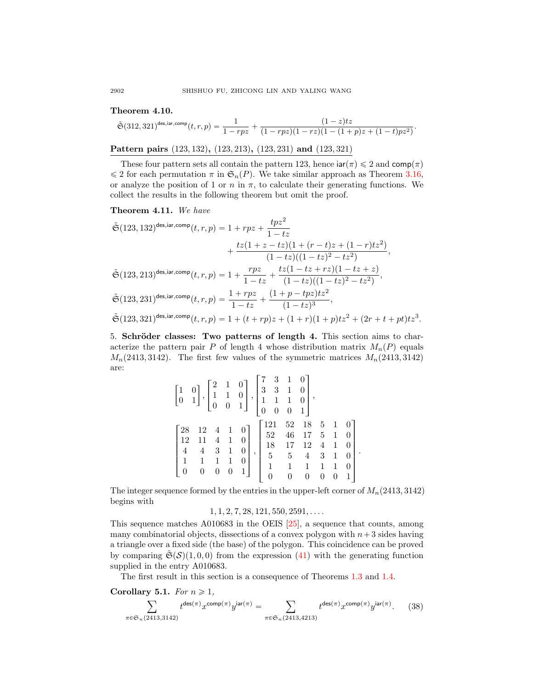## <span id="page-25-1"></span>Theorem 4.10.

$$
\tilde{\mathfrak{S}}(312,321)^{\text{des,iar,comp}}(t,r,p) = \frac{1}{1-rpz} + \frac{(1-z)tz}{(1-rpz)(1-rz)(1-(1+p)z+(1-t)pz^2)}.
$$

Pattern pairs  $(123, 132)$ ,  $(123, 213)$ ,  $(123, 231)$  and  $(123, 321)$ 

These four pattern sets all contain the pattern 123, hence  $\text{iar}(\pi) \leq 2$  and  $\text{comp}(\pi)$  $\leq 2$  for each permutation  $\pi$  in  $\mathfrak{S}_n(P)$ . We take similar approach as Theorem [3.16,](#page-19-0) or analyze the position of 1 or n in  $\pi$ , to calculate their generating functions. We collect the results in the following theorem but omit the proof.

<span id="page-25-2"></span>Theorem 4.11. We have

$$
\begin{aligned} \tilde{\mathfrak{S}}(123,132)^{\text{des,iar,comp}}(t,r,p)&=1+rpz+\frac{tpz^2}{1-tz}\\ &+\frac{tz(1+z-tz)(1+(r-t)z+(1-r)tz^2)}{(1-tz)((1-tz)^2-tz^2)},\\ \tilde{\mathfrak{S}}(123,213)^{\text{des,iar,comp}}(t,r,p)&=1+\frac{rpz}{1-tz}+\frac{tz(1-tz+rz)(1-tz+z)}{(1-tz)((1-tz)^2-tz^2)},\\ \tilde{\mathfrak{S}}(123,231)^{\text{des,iar,comp}}(t,r,p)&=\frac{1+rpz}{1-tz}+\frac{(1+p-tpz)tz^2}{(1-tz)^3},\\ \tilde{\mathfrak{S}}(123,321)^{\text{des,iar,comp}}(t,r,p)&=1+(t+rp)z+(1+r)(1+p)tz^2+(2r+t+pt)tz^3. \end{aligned}
$$

<span id="page-25-0"></span>5. Schröder classes: Two patterns of length 4. This section aims to characterize the pattern pair P of length 4 whose distribution matrix  $M_n(P)$  equals  $M_n(2413, 3142)$ . The first few values of the symmetric matrices  $M_n(2413, 3142)$ are: » fi

|  |  | $\begin{bmatrix} 1 & 0 \\ 0 & 1 \end{bmatrix}, \begin{bmatrix} 2 & 1 & 0 \\ 1 & 1 & 0 \\ 0 & 0 & 1 \end{bmatrix}, \begin{bmatrix} 7 & 3 & 1 & 0 \\ 3 & 3 & 1 & 0 \\ 1 & 1 & 1 & 0 \\ 0 & 0 & 0 & 1 \end{bmatrix},$                                                                                                                    |  |  |  |  |
|--|--|---------------------------------------------------------------------------------------------------------------------------------------------------------------------------------------------------------------------------------------------------------------------------------------------------------------------------------------|--|--|--|--|
|  |  |                                                                                                                                                                                                                                                                                                                                       |  |  |  |  |
|  |  |                                                                                                                                                                                                                                                                                                                                       |  |  |  |  |
|  |  |                                                                                                                                                                                                                                                                                                                                       |  |  |  |  |
|  |  |                                                                                                                                                                                                                                                                                                                                       |  |  |  |  |
|  |  |                                                                                                                                                                                                                                                                                                                                       |  |  |  |  |
|  |  | $\begin{bmatrix} 28 & 12 & 4 & 1 & 0 \\ 12 & 11 & 4 & 1 & 0 \\ 4 & 4 & 3 & 1 & 0 \\ 1 & 1 & 1 & 1 & 0 \\ 0 & 0 & 0 & 0 & 1 \end{bmatrix}, \begin{bmatrix} 121 & 52 & 18 & 5 & 1 & 0 \\ 52 & 46 & 17 & 5 & 1 & 0 \\ 18 & 17 & 12 & 4 & 1 & 0 \\ 5 & 5 & 4 & 3 & 1 & 0 \\ 1 & 1 & 1 & 1 & 1 & 0 \\ 0 & 0 & 0 & 0 & 0 & 1 \end{bmatrix}$ |  |  |  |  |

.

The integer sequence formed by the entries in the upper-left corner of  $M_n(2413, 3142)$ begins with

 $1, 1, 2, 7, 28, 121, 550, 2591, \ldots$ 

This sequence matches A010683 in the OEIS [\[25\]](#page-36-19), a sequence that counts, among many combinatorial objects, dissections of a convex polygon with  $n+3$  sides having a triangle over a fixed side (the base) of the polygon. This coincidence can be proved by comparing  $\tilde{\mathfrak{S}}(\mathcal{S})(1, 0, 0)$  from the expression [\(41\)](#page-27-1) with the generating function supplied in the entry A010683.

The first result in this section is a consequence of Theorems [1.3](#page-3-1) and [1.4.](#page-4-1)

<span id="page-25-4"></span>Corollary 5.1. For  $n \geq 1$ ,

<span id="page-25-3"></span>
$$
\sum_{\pi \in \mathfrak{S}_n(2413,3142)} t^{\text{des}(\pi)} x^{\text{comp}(\pi)} y^{\text{iar}(\pi)} = \sum_{\pi \in \mathfrak{S}_n(2413,4213)} t^{\text{des}(\pi)} x^{\text{comp}(\pi)} y^{\text{iar}(\pi)}.
$$
 (38)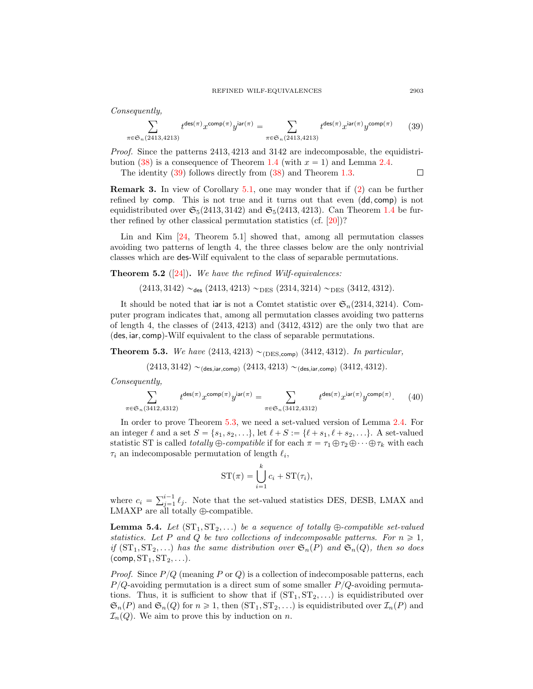Consequently,

<span id="page-26-0"></span>
$$
\sum_{\pi \in \mathfrak{S}_n(2413,4213)} t^{\text{des}(\pi)} x^{\text{comp}(\pi)} y^{\text{iar}(\pi)} = \sum_{\pi \in \mathfrak{S}_n(2413,4213)} t^{\text{des}(\pi)} x^{\text{iar}(\pi)} y^{\text{comp}(\pi)} \tag{39}
$$

Proof. Since the patterns 2413, 4213 and 3142 are indecomposable, the equidistribution  $(38)$  is a consequence of Theorem [1.4](#page-4-1) (with  $x = 1$ ) and Lemma [2.4.](#page-7-2)

The identity [\(39\)](#page-26-0) follows directly from [\(38\)](#page-25-3) and Theorem [1.3.](#page-3-1)  $\Box$ 

Remark 3. In view of Corollary [5.1,](#page-25-4) one may wonder that if [\(2\)](#page-4-2) can be further refined by comp. This is not true and it turns out that even  $(\text{dd}, \text{comp})$  is not equidistributed over  $\mathfrak{S}_5(2413, 3142)$  and  $\mathfrak{S}_5(2413, 4213)$ . Can Theorem [1.4](#page-4-1) be further refined by other classical permutation statistics (cf. [\[20\]](#page-36-2))?

Lin and Kim [\[24,](#page-36-8) Theorem 5.1] showed that, among all permutation classes avoiding two patterns of length 4, the three classes below are the only nontrivial classes which are des-Wilf equivalent to the class of separable permutations.

<span id="page-26-2"></span>**Theorem 5.2** ([\[24\]](#page-36-8)). We have the refined Wilf-equivalences:

 $(2413, 3142) \sim_{\text{des}} (2413, 4213) \sim_{\text{DES}} (2314, 3214) \sim_{\text{DES}} (3412, 4312).$ 

It should be noted that iar is not a Comtet statistic over  $\mathfrak{S}_n(2314, 3214)$ . Computer program indicates that, among all permutation classes avoiding two patterns of length 4, the classes of  $(2413, 4213)$  and  $(3412, 4312)$  are the only two that are  $(\text{des}, \text{iar}, \text{comp})$ -Wilf equivalent to the class of separable permutations.

<span id="page-26-1"></span>**Theorem 5.3.** We have  $(2413, 4213) \sim_{(DES.comp)} (3412, 4312)$ . In particular,

$$
(2413, 3142) \sim_{(\text{des,iar,comp})} (2413, 4213) \sim_{(\text{des,iar,comp})} (3412, 4312).
$$

Consequently,

$$
\sum_{\pi \in \mathfrak{S}_n(3412,4312)} t^{\text{des}(\pi)} x^{\text{comp}(\pi)} y^{\text{iar}(\pi)} = \sum_{\pi \in \mathfrak{S}_n(3412,4312)} t^{\text{des}(\pi)} x^{\text{iar}(\pi)} y^{\text{comp}(\pi)}.
$$
 (40)

In order to prove Theorem [5.3,](#page-26-1) we need a set-valued version of Lemma [2.4.](#page-7-2) For an integer  $\ell$  and a set  $S = \{s_1, s_2, \ldots\}$ , let  $\ell + S := \{\ell + s_1, \ell + s_2, \ldots\}$ . A set-valued statistic ST is called *totally*  $\bigoplus$ -compatible if for each  $\pi = \tau_1 \oplus \tau_2 \oplus \cdots \oplus \tau_k$  with each  $\tau_i$  an indecomposable permutation of length  $\ell_i$ ,

$$
ST(\pi) = \bigcup_{i=1}^{k} c_i + ST(\tau_i),
$$

where  $c_i = \sum_{j=1}^{i-1} \ell_j$ . Note that the set-valued statistics DES, DESB, LMAX and LMAXP are all totally  $\oplus\text{-compatible.}$ 

<span id="page-26-3"></span>**Lemma 5.4.** Let  $(ST_1, ST_2, ...)$  be a sequence of totally  $\oplus$ -compatible set-valued statistics. Let P and Q be two collections of indecomposable patterns. For  $n \geq 1$ , if  $(ST_1, ST_2, ...)$  has the same distribution over  $\mathfrak{S}_n(P)$  and  $\mathfrak{S}_n(Q)$ , then so does  $(\mathsf{comp}, \mathsf{ST}_1, \mathsf{ST}_2, \ldots).$ 

*Proof.* Since  $P/Q$  (meaning P or Q) is a collection of indecomposable patterns, each  $P_{\rm }/Q$ -avoiding permutation is a direct sum of some smaller  $P_{\rm }/Q$ -avoiding permutations. Thus, it is sufficient to show that if  $(ST_1, ST_2, ...)$  is equidistributed over  $\mathfrak{S}_n(P)$  and  $\mathfrak{S}_n(Q)$  for  $n \geq 1$ , then  $(ST_1, ST_2, ...)$  is equidistributed over  $\mathcal{I}_n(P)$  and  $\mathcal{I}_n(Q)$ . We aim to prove this by induction on n.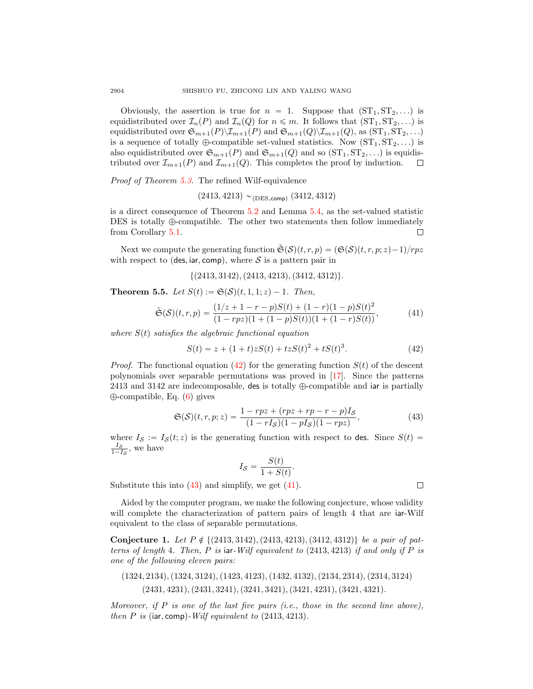Obviously, the assertion is true for  $n = 1$ . Suppose that  $(ST_1, ST_2, \ldots)$  is equidistributed over  $\mathcal{I}_n(P)$  and  $\mathcal{I}_n(Q)$  for  $n \leq m$ . It follows that  $(ST_1, ST_2, ...)$  is equidistributed over  $\mathfrak{S}_{m+1}(P)\backslash\mathcal{I}_{m+1}(P)$  and  $\mathfrak{S}_{m+1}(Q)\backslash\mathcal{I}_{m+1}(Q)$ , as  $(\mathrm{ST}_1, \mathrm{ST}_2, ...)$ is a sequence of totally  $\oplus$ -compatible set-valued statistics. Now  $(ST_1, ST_2, \ldots)$  is also equidistributed over  $\mathfrak{S}_{m+1}(P)$  and  $\mathfrak{S}_{m+1}(Q)$  and so  $(ST_1, ST_2, ...)$  is equidistributed over  $\mathcal{I}_{m+1}(P)$  and  $\mathcal{I}_{m+1}(Q)$ . This completes the proof by induction.  $\Box$ 

Proof of Theorem [5.3.](#page-26-1) The refined Wilf-equivalence

 $(2413, 4213)$  ~(DES,comp)  $(3412, 4312)$ 

is a direct consequence of Theorem [5.2](#page-26-2) and Lemma [5.4,](#page-26-3) as the set-valued statistic DES is totally  $\oplus$ -compatible. The other two statements then follow immediately from Corollary [5.1.](#page-25-4) □

Next we compute the generating function  $\tilde{\mathfrak{S}}(\mathcal{S})(t, r, p) = (\mathfrak{S}(\mathcal{S})(t, r, p; z)-1)/rpz$ with respect to (des, iar, comp), where S is a pattern pair in

$$
{(2413, 3142), (2413, 4213), (3412, 4312)}.
$$

**Theorem 5.5.** Let  $S(t) := \mathfrak{S}(\mathcal{S})(t, 1, 1; z) - 1$ . Then,

$$
\tilde{\mathfrak{S}}(\mathcal{S})(t,r,p) = \frac{(1/z + 1 - r - p)S(t) + (1 - r)(1 - p)S(t)^2}{(1 - rpz)(1 + (1 - p)S(t))(1 + (1 - r)S(t))},\tag{41}
$$

where  $S(t)$  satisfies the algebraic functional equation

<span id="page-27-2"></span>
$$
S(t) = z + (1+t)zS(t) + tzS(t)^{2} + tS(t)^{3}.
$$
\n(42)

*Proof.* The functional equation [\(42\)](#page-27-2) for the generating function  $S(t)$  of the descent polynomials over separable permutations was proved in [\[17\]](#page-36-11). Since the patterns 2413 and 3142 are indecomposable, des is totally  $\bigoplus$ -compatible and iar is partially  $\oplus$ -compatible, Eq. [\(6\)](#page-8-3) gives

<span id="page-27-3"></span>
$$
\mathfrak{S}(\mathcal{S})(t,r,p;z) = \frac{1 - rpz + (rpz + rp - r - p)I_S}{(1 - rI_S)(1 - pI_S)(1 - rpz)},
$$
\n(43)

where  $I_{\mathcal{S}} := I_{\mathcal{S}}(t; z)$  is the generating function with respect to des. Since  $S(t)$  =  $\frac{I_S}{1-I_S}$ , we have

$$
I_{\mathcal{S}} = \frac{S(t)}{1 + S(t)}.
$$

Substitute this into  $(43)$  and simplify, we get  $(41)$ .

Aided by the computer program, we make the following conjecture, whose validity will complete the characterization of pattern pairs of length 4 that are iar-Wilf equivalent to the class of separable permutations.

<span id="page-27-0"></span>Conjecture 1. Let  $P \notin \{(2413, 3142), (2413, 4213), (3412, 4312)\}\$ be a pair of patterns of length 4. Then, P is iar-Wilf equivalent to  $(2413, 4213)$  if and only if P is one of the following eleven pairs:

 $(1324, 2134), (1324, 3124), (1423, 4123), (1432, 4132), (2134, 2314), (2314, 3124)$  $(2431, 4231), (2431, 3241), (3241, 3421), (3421, 4231), (3421, 4321).$ 

Moreover, if  $P$  is one of the last five pairs (i.e., those in the second line above), then P is (iar, comp)-Wilf equivalent to  $(2413, 4213)$ .

<span id="page-27-1"></span> $\Box$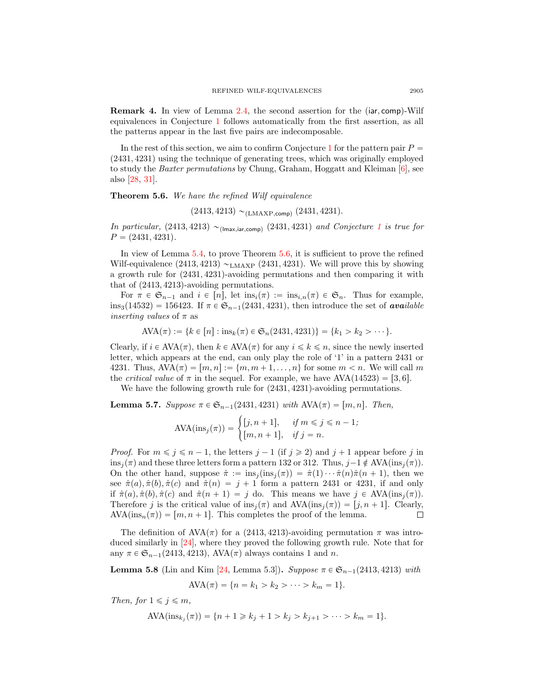**Remark 4.** In view of Lemma  $2.4$ , the second assertion for the (iar, comp)-Wilf equivalences in Conjecture [1](#page-27-0) follows automatically from the first assertion, as all the patterns appear in the last five pairs are indecomposable.

In the rest of this section, we aim to confirm Conjecture [1](#page-27-0) for the pattern pair  $P =$  $(2431, 4231)$  using the technique of generating trees, which was originally employed to study the Baxter permutations by Chung, Graham, Hoggatt and Kleiman [\[6\]](#page-35-7), see also [\[28,](#page-36-1) [31\]](#page-36-20).

<span id="page-28-0"></span>Theorem 5.6. We have the refined Wilf equivalence

$$
(2413, 4213) \sim_{(LMAXP,comp)} (2431, 4231).
$$

In particular,  $(2413, 4213) \sim_{(Imax,iar,comp)} (2431, 4231)$  $(2413, 4213) \sim_{(Imax,iar,comp)} (2431, 4231)$  $(2413, 4213) \sim_{(Imax,iar,comp)} (2431, 4231)$  and Conjecture 1 is true for  $P = (2431, 4231).$ 

In view of Lemma [5.4,](#page-26-3) to prove Theorem [5.6,](#page-28-0) it is sufficient to prove the refined Wilf-equivalence  $(2413, 4213) \sim_{\text{LMAXP}} (2431, 4231)$ . We will prove this by showing a growth rule for  $(2431, 4231)$ -avoiding permutations and then comparing it with that of  $(2413, 4213)$ -avoiding permutations.

For  $\pi \in \mathfrak{S}_{n-1}$  and  $i \in [n]$ , let  $ins_i(\pi) := ins_{i,n}(\pi) \in \mathfrak{S}_n$ . Thus for example,  $ins_3(14532) = 156423$ . If  $\pi \in \mathfrak{S}_{n-1}(2431, 4231)$ , then introduce the set of available *inserting values* of  $\pi$  as

$$
AVA(\pi) := \{ k \in [n] : ins_k(\pi) \in \mathfrak{S}_n(2431, 4231) \} = \{ k_1 > k_2 > \cdots \}.
$$

Clearly, if  $i \in \text{AVA}(\pi)$ , then  $k \in \text{AVA}(\pi)$  for any  $i \leq k \leq n$ , since the newly inserted letter, which appears at the end, can only play the role of '1' in a pattern 2431 or 4231. Thus,  $AVA(\pi) = [m, n] := \{m, m + 1, \ldots, n\}$  for some  $m < n$ . We will call m. the *critical value* of  $\pi$  in the sequel. For example, we have  $AVA(14523) = [3, 6].$ 

We have the following growth rule for  $(2431, 4231)$ -avoiding permutations.

<span id="page-28-1"></span>**Lemma 5.7.** Suppose  $\pi \in \mathfrak{S}_{n-1}(2431, 4231)$  with  $AVA(\pi) = [m, n]$ . Then,

$$
\text{AVA}(\text{ins}_j(\pi)) = \begin{cases} [j, n+1], & \text{if } m \le j \le n-1; \\ [m, n+1], & \text{if } j = n. \end{cases}
$$

*Proof.* For  $m \le j \le n - 1$ , the letters  $j - 1$  (if  $j \ge 2$ ) and  $j + 1$  appear before j in ins<sub>j</sub>( $\pi$ ) and these three letters form a pattern 132 or 312. Thus, j -1  $\notin$  AVA(ins<sub>j</sub>( $\pi$ )). On the other hand, suppose  $\hat{\pi} := \text{ins}_j(\text{ins}_j(\pi)) = \hat{\pi}(1) \cdots \hat{\pi}(n) \hat{\pi}(n+1)$ , then we see  $\hat{\pi}(a), \hat{\pi}(b), \hat{\pi}(c)$  and  $\hat{\pi}(n) = j + 1$  form a pattern 2431 or 4231, if and only if  $\hat{\pi}(a), \hat{\pi}(b), \hat{\pi}(c)$  and  $\hat{\pi}(n + 1) = j$  do. This means we have  $j \in \text{AVA}(\text{ins}_i(\pi)).$ Therefore j is the critical value of  $ins_i(\pi)$  and  $AVA-ins_i(\pi) = [j, n + 1]$ . Clearly,  $AVA(\text{ins}_n(\pi)) = [m, n + 1]$ . This completes the proof of the lemma.  $\Box$ 

The definition of  $AVA(\pi)$  for a (2413, 4213)-avoiding permutation  $\pi$  was introduced similarly in [\[24\]](#page-36-8), where they proved the following growth rule. Note that for any  $\pi \in \mathfrak{S}_{n-1}(2413, 4213), \text{AVA}(\pi)$  always contains 1 and n.

<span id="page-28-2"></span>**Lemma 5.8** (Lin and Kim [\[24,](#page-36-8) Lemma 5.3]). Suppose  $\pi \in \mathfrak{S}_{n-1}(2413, 4213)$  with

$$
AVA(\pi) = \{n = k_1 > k_2 > \cdots > k_m = 1\}.
$$

Then, for  $1 \leq j \leq m$ ,

$$
AVA(\text{ins}_{k_j}(\pi)) = \{n+1 \ge k_j + 1 > k_j > k_{j+1} > \dots > k_m = 1\}.
$$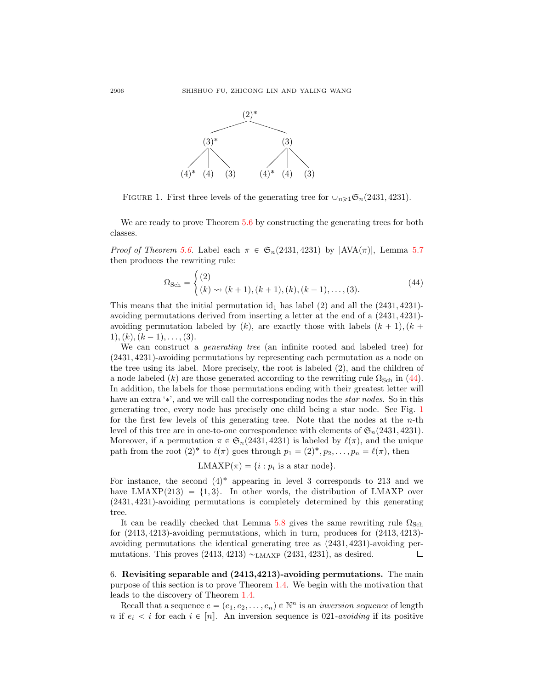

<span id="page-29-2"></span>FIGURE 1. First three levels of the generating tree for  $\cup_{n\geq 1}$   $\mathfrak{S}_n(2431, 4231)$ .

We are ready to prove Theorem [5.6](#page-28-0) by constructing the generating trees for both classes.

*Proof of Theorem [5.6.](#page-28-0)* Label each  $\pi \in \mathfrak{S}_n(2431, 4231)$  by  $|AVA(\pi)|$ , Lemma [5.7](#page-28-1) then produces the rewriting rule:

<span id="page-29-1"></span>
$$
\Omega_{\text{Sch}} = \begin{cases} (2) \\ (k) \rightsquigarrow (k+1), (k+1), (k), (k-1), \dots, (3). \end{cases} (44)
$$

This means that the initial permutation  $\mathrm{id}_1$  has label (2) and all the (2431, 4231)avoiding permutations derived from inserting a letter at the end of a  $(2431, 4231)$ avoiding permutation labeled by  $(k)$ , are exactly those with labels  $(k + 1)$ ,  $(k + 1)$  $1$ ,  $(k)$ ,  $(k - 1)$ , . . . . . (3).

We can construct a *generating tree* (an infinite rooted and labeled tree) for  $(2431, 4231)$ -avoiding permutations by representing each permutation as a node on the tree using its label. More precisely, the root is labeled  $(2)$ , and the children of a node labeled (k) are those generated according to the rewriting rule  $\Omega_{\text{Sch}}$  in [\(44\)](#page-29-1). In addition, the labels for those permutations ending with their greatest letter will have an extra '\*', and we will call the corresponding nodes the *star nodes*. So in this generating tree, every node has precisely one child being a star node. See Fig. [1](#page-29-2) for the first few levels of this generating tree. Note that the nodes at the  $n$ -th level of this tree are in one-to-one correspondence with elements of  $\mathfrak{S}_n(2431, 4231)$ . Moreover, if a permutation  $\pi \in \mathfrak{S}_n(2431, 4231)$  is labeled by  $\ell(\pi)$ , and the unique path from the root  $(2)^*$  to  $\ell(\pi)$  goes through  $p_1 = (2)^*, p_2, \ldots, p_n = \ell(\pi)$ , then

$$
LMEXP(\pi) = \{i : p_i \text{ is a star node}\}.
$$

For instance, the second  $(4)^*$  appearing in level 3 corresponds to 213 and we have  $LMAXP(213) = \{1, 3\}$ . In other words, the distribution of LMAXP over  $(2431, 4231)$ -avoiding permutations is completely determined by this generating tree.

It can be readily checked that Lemma [5.8](#page-28-2) gives the same rewriting rule  $\Omega_{\text{Sch}}$ for  $(2413, 4213)$ -avoiding permutations, which in turn, produces for  $(2413, 4213)$ avoiding permutations the identical generating tree as  $(2431, 4231)$ -avoiding permutations. This proves  $(2413, 4213) \sim_{LMAXP} (2431, 4231)$ , as desired.  $\Box$ 

<span id="page-29-0"></span>6. Revisiting separable and (2413,4213)-avoiding permutations. The main purpose of this section is to prove Theorem [1.4.](#page-4-1) We begin with the motivation that leads to the discovery of Theorem [1.4.](#page-4-1)

Recall that a sequence  $e = (e_1, e_2, \ldots, e_n) \in \mathbb{N}^n$  is an *inversion sequence* of length n if  $e_i < i$  for each  $i \in [n]$ . An inversion sequence is 021-avoiding if its positive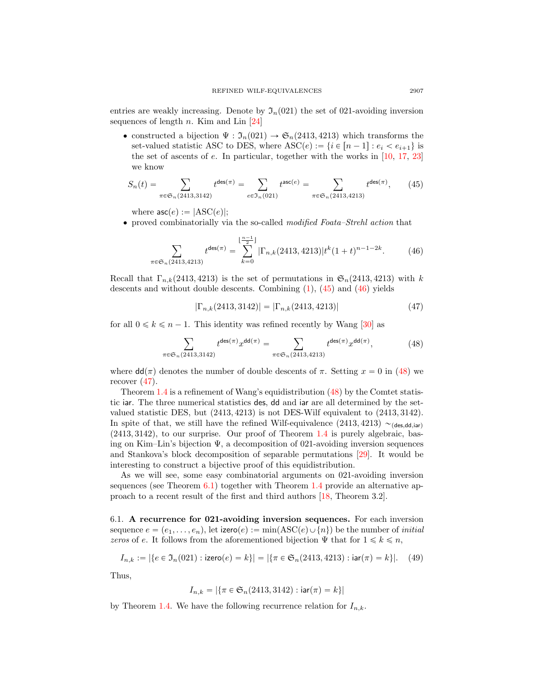entries are weakly increasing. Denote by  $\mathfrak{I}_n(021)$  the set of 021-avoiding inversion sequences of length n. Kim and Lin  $[24]$ 

• constructed a bijection  $\Psi : \mathfrak{I}_n(021) \to \mathfrak{S}_n(2413, 4213)$  which transforms the set-valued statistic ASC to DES, where  $\text{ASC}(e) := \{i \in [n - 1] : e_i < e_{i+1}\}\$ the set of ascents of e. In particular, together with the works in [\[10,](#page-36-21) [17,](#page-36-11) [23\]](#page-36-12) we know

<span id="page-30-0"></span>
$$
S_n(t) = \sum_{\pi \in \mathfrak{S}_n(2413,3142)} t^{\text{des}(\pi)} = \sum_{e \in \mathfrak{I}_n(021)} t^{\text{asc}(e)} = \sum_{\pi \in \mathfrak{S}_n(2413,4213)} t^{\text{des}(\pi)},\tag{45}
$$

where  $\textsf{asc}(e) := | \text{ASC}(e) |$ ;

' proved combinatorially via the so-called modified Foata–Strehl action that

<span id="page-30-1"></span>
$$
\sum_{\pi \in \mathfrak{S}_n(2413,4213)} t^{\text{des}(\pi)} = \sum_{k=0}^{\lfloor \frac{n-1}{2} \rfloor} |\Gamma_{n,k}(2413,4213)| t^k (1+t)^{n-1-2k}.
$$
 (46)

Recall that  $\Gamma_{n,k}(2413, 4213)$  is the set of permutations in  $\mathfrak{S}_n(2413, 4213)$  with k descents and without double descents. Combining  $(1)$ ,  $(45)$  and  $(46)$  yields

<span id="page-30-3"></span>
$$
|\Gamma_{n,k}(2413,3142)| = |\Gamma_{n,k}(2413,4213)| \tag{47}
$$

for all  $0 \le k \le n - 1$ . This identity was refined recently by Wang [\[30\]](#page-36-14) as

<span id="page-30-2"></span>
$$
\sum_{\pi \in \mathfrak{S}_n(2413,3142)} t^{\text{des}(\pi)} x^{\text{dd}(\pi)} = \sum_{\pi \in \mathfrak{S}_n(2413,4213)} t^{\text{des}(\pi)} x^{\text{dd}(\pi)},\tag{48}
$$

where  $dd(\pi)$  denotes the number of double descents of  $\pi$ . Setting  $x = 0$  in [\(48\)](#page-30-2) we recover  $(47)$ .

Theorem [1.4](#page-4-1) is a refinement of Wang's equidistribution [\(48\)](#page-30-2) by the Comtet statistic iar. The three numerical statistics des, dd and iar are all determined by the setvalued statistic DES, but  $(2413, 4213)$  is not DES-Wilf equivalent to  $(2413, 3142)$ . In spite of that, we still have the refined Wilf-equivalence  $(2413, 4213) \sim_{\text{(des.dd,iar)}}$  $(2413, 3142)$ , to our surprise. Our proof of Theorem [1.4](#page-4-1) is purely algebraic, basing on Kim–Lin's bijection  $\Psi$ , a decomposition of 021-avoiding inversion sequences and Stankova's block decomposition of separable permutations [\[29\]](#page-36-22). It would be interesting to construct a bijective proof of this equidistribution.

As we will see, some easy combinatorial arguments on 021-avoiding inversion sequences (see Theorem [6.1\)](#page-31-0) together with Theorem [1.4](#page-4-1) provide an alternative approach to a recent result of the first and third authors [\[18,](#page-36-5) Theorem 3.2].

6.1. A recurrence for 021-avoiding inversion sequences. For each inversion sequence  $e = (e_1, \ldots, e_n)$ , let izero $(e) := \min(ASC(e) \cup \{n\})$  be the number of *initial* zeros of e. It follows from the aforementioned bijection  $\Psi$  that for  $1 \leq k \leq n$ ,

$$
I_{n,k} := |\{e \in \mathfrak{I}_n(021) : \text{izero}(e) = k\}| = |\{\pi \in \mathfrak{S}_n(2413, 4213) : \text{iar}(\pi) = k\}|. \tag{49}
$$

Thus,

$$
I_{n,k} = |\{\pi \in \mathfrak{S}_n(2413, 3142) : \text{iar}(\pi) = k\}|
$$

by Theorem [1.4.](#page-4-1) We have the following recurrence relation for  $I_{n,k}$ .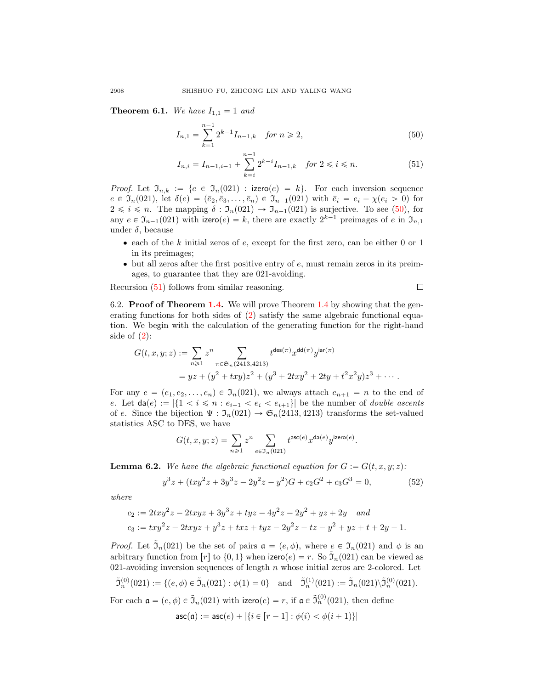<span id="page-31-0"></span>**Theorem 6.1.** We have  $I_{1,1} = 1$  and

$$
I_{n,1} = \sum_{k=1}^{n-1} 2^{k-1} I_{n-1,k} \quad \text{for } n \ge 2,
$$
\n(50)

$$
I_{n,i} = I_{n-1,i-1} + \sum_{k=i}^{n-1} 2^{k-i} I_{n-1,k} \quad \text{for } 2 \leq i \leq n. \tag{51}
$$

<span id="page-31-2"></span><span id="page-31-1"></span> $\Box$ 

*Proof.* Let  $\mathfrak{I}_{n,k} := \{e \in \mathfrak{I}_n(021) : \text{izero}(e) = k\}.$  For each inversion sequence  $e \in \mathfrak{I}_n(021)$ , let  $\delta(e) = (\bar{e}_2, \bar{e}_3, \ldots, \bar{e}_n) \in \mathfrak{I}_{n-1}(021)$  with  $\bar{e}_i = e_i - \chi(e_i > 0)$  for  $2 \leq i \leq n$ . The mapping  $\delta : \mathfrak{I}_n(021) \to \mathfrak{I}_{n-1}(021)$  is surjective. To see [\(50\)](#page-31-1), for any  $e \in \mathfrak{I}_{n-1}(021)$  with izero $(e) = k$ , there are exactly  $2^{k-1}$  preimages of e in  $\mathfrak{I}_{n,1}$ under  $\delta$ , because

- $\bullet$  each of the k initial zeros of e, except for the first zero, can be either 0 or 1 in its preimages;
- $\bullet$  but all zeros after the first positive entry of  $e$ , must remain zeros in its preimages, to guarantee that they are 021-avoiding.

Recursion [\(51\)](#page-31-2) follows from similar reasoning.

6.2. Proof of Theorem [1.4.](#page-4-1) We will prove Theorem [1.4](#page-4-1) by showing that the generating functions for both sides of [\(2\)](#page-4-2) satisfy the same algebraic functional equation. We begin with the calculation of the generating function for the right-hand side of  $(2)$ :

$$
G(t, x, y; z) := \sum_{n \ge 1} z^n \sum_{\pi \in \mathfrak{S}_n (2413, 4213)} t^{\deg(\pi)} x^{\deg(\pi)} y^{\operatorname{iar}(\pi)}
$$
  
=  $yz + (y^2 + txy)z^2 + (y^3 + 2txy^2 + 2ty + t^2x^2y)z^3 + \cdots$ 

For any  $e = (e_1, e_2, \ldots, e_n) \in \mathfrak{I}_n(021)$ , we always attach  $e_{n+1} = n$  to the end of e. Let  $\text{da}(e) := |\{1 \leq i \leq n : e_{i-1} \leq e_i \leq e_{i+1}\}|$  be the number of *double ascents* of e. Since the bijection  $\Psi : \mathfrak{I}_n(021) \to \mathfrak{S}_n(2413, 4213)$  transforms the set-valued statistics ASC to DES, we have

$$
G(t, x, y; z) = \sum_{n \geq 1} z^n \sum_{e \in \mathfrak{I}_n(021)} t^{\text{asc}(e)} x^{\text{da}(e)} y^{\text{izero}(e)}.
$$

<span id="page-31-4"></span>**Lemma 6.2.** We have the algebraic functional equation for  $G := G(t, x, y; z)$ :

<span id="page-31-3"></span>
$$
y^{3}z + (txy^{2}z + 3y^{3}z - 2y^{2}z - y^{2})G + c_{2}G^{2} + c_{3}G^{3} = 0,
$$
\n(52)

where

$$
c_2 := 2txy^2z - 2txyz + 3y^3z + tyz - 4y^2z - 2y^2 + yz + 2y
$$
 and  

$$
c_3 := txy^2z - 2txyz + y^3z + txz + tyz - 2y^2z - tz - y^2 + yz + t + 2y - 1.
$$

*Proof.* Let  $\tilde{\mathfrak{I}}_n(021)$  be the set of pairs  $\mathfrak{a} = (e, \phi)$ , where  $e \in \mathfrak{I}_n(021)$  and  $\phi$  is an arbitrary function from  $[r]$  to  $\{0, 1\}$  when izero $(e) = r$ . So  $\tilde{\mathfrak{I}}_n(021)$  can be viewed as 021-avoiding inversion sequences of length  $n$  whose initial zeros are 2-colored. Let

$$
\tilde{\mathfrak{I}}_n^{(0)}(021) := \{ (e,\phi) \in \tilde{\mathfrak{I}}_n(021) : \phi(1) = 0 \} \quad \text{and} \quad \tilde{\mathfrak{I}}_n^{(1)}(021) := \tilde{\mathfrak{I}}_n(021) \backslash \tilde{\mathfrak{I}}_n^{(0)}(021).
$$

For each  $\mathfrak{a} = (e, \phi) \in \tilde{\mathfrak{I}}_n(021)$  with izero $(e) = r$ , if  $\mathfrak{a} \in \tilde{\mathfrak{I}}_n^{(0)}(021)$ , then define  $\mathsf{asc}(\mathfrak{a}) := \mathsf{asc}(e) + |\{i \in [r - 1] : \phi(i) < \phi(i + 1)\}|$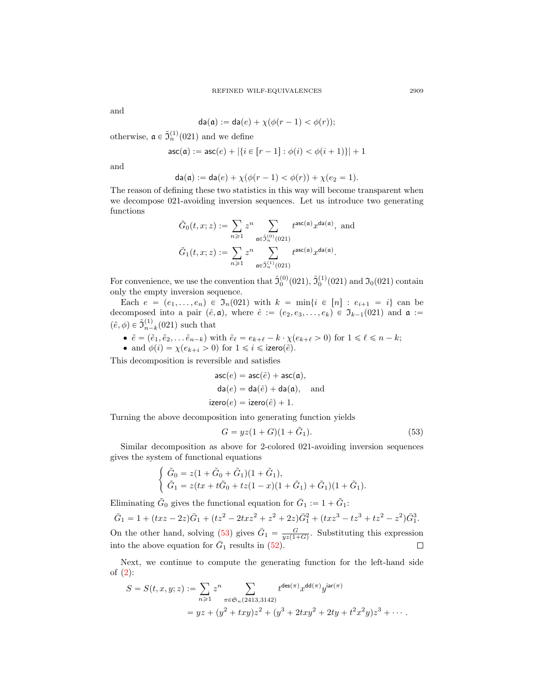and

$$
da(\mathfrak{a}) := da(e) + \chi(\phi(r-1) < \phi(r));
$$

otherwise,  $\mathfrak{a} \in \tilde{J}_n^{(1)}(021)$  and we define

$$
\mathsf{asc}(\mathfrak{a}) := \mathsf{asc}(e) + |\{i \in [r-1] : \phi(i) < \phi(i+1)\}| + 1
$$

and

$$
\mathrm{da}(\mathfrak{a}) := \mathrm{da}(e) + \chi(\phi(r-1) < \phi(r)) + \chi(e_2 = 1).
$$

The reason of defining these two statistics in this way will become transparent when we decompose 021-avoiding inversion sequences. Let us introduce two generating functions

$$
\tilde{G}_0(t, x; z) := \sum_{n \geq 1} z^n \sum_{\mathfrak{a} \in \tilde{\mathfrak{I}}_n^{(0)}(021)} t^{\mathrm{asc}(\mathfrak{a})} x^{\mathrm{da}(\mathfrak{a})}, \text{ and}
$$

$$
\tilde{G}_1(t, x; z) := \sum_{n \geq 1} z^n \sum_{\mathfrak{a} \in \tilde{\mathfrak{I}}_n^{(1)}(021)} t^{\mathrm{asc}(\mathfrak{a})} x^{\mathrm{da}(\mathfrak{a})}.
$$

For convenience, we use the convention that  $\tilde{J}_0^{(0)}(021)$ ,  $\tilde{J}_0^{(1)}(021)$  and  $\tilde{J}_0(021)$  contain only the empty inversion sequence.

Each  $e = (e_1, \ldots, e_n) \in \mathfrak{I}_n(021)$  with  $k = \min\{i \in [n] : e_{i+1} = i\}$  can be decomposed into a pair  $(\hat{e}, \mathfrak{a})$ , where  $\hat{e} := (e_2, e_3, \ldots, e_k) \in \mathfrak{I}_{k-1}(021)$  and  $\mathfrak{a} :=$  $(\tilde{e}, \phi) \in \tilde{\mathfrak{I}}_{n-}^{(1)}$  $_{n-k}^{(1)}(021)$  such that

- $\tilde{e} = (\tilde{e}_1, \tilde{e}_2, \dots, \tilde{e}_{n-k})$  with  $\tilde{e}_{\ell} = e_{k+\ell} k \cdot \chi(e_{k+\ell} > 0)$  for  $1 \leq \ell \leq n-k$ ;
- and  $\phi(i) = \chi(e_{k+i} > 0)$  for  $1 \leq i \leq i$  izero $(\tilde{e})$ .

This decomposition is reversible and satisfies

$$
asc(e) = asc(\hat{e}) + asc(a),
$$
  
\n
$$
da(e) = da(\hat{e}) + da(a),
$$
 and  
\n
$$
izero(e) = izero(\hat{e}) + 1.
$$

Turning the above decomposition into generating function yields

<span id="page-32-0"></span>
$$
G = yz(1+G)(1+\tilde{G}_1).
$$
 (53)

Similar decomposition as above for 2-colored 021-avoiding inversion sequences gives the system of functional equations

$$
\begin{cases} \tilde{G}_0 = z(1 + \tilde{G}_0 + \tilde{G}_1)(1 + \tilde{G}_1), \\ \tilde{G}_1 = z(tx + t\tilde{G}_0 + tz(1 - x)(1 + \tilde{G}_1) + \tilde{G}_1)(1 + \tilde{G}_1). \end{cases}
$$

Eliminating  $\tilde{G}_0$  gives the functional equation for  $\bar{G}_1 := 1 + \tilde{G}_1$ :

 $\bar{G}_1 = 1 + (txz - 2z)\bar{G}_1 + (tz^2 - 2txz^2 + z^2 + 2z)\bar{G}_1^2 + (txz^3 - tz^3 + tz^2 - z^2)\bar{G}_1^3.$ On the other hand, solving [\(53\)](#page-32-0) gives  $\bar{G}_1 = \frac{G}{yz(1+G)}$ . Substituting this expression into the above equation for  $\bar{G}_1$  results in  $(52)$ .  $\Box$ 

Next, we continue to compute the generating function for the left-hand side of [\(2\)](#page-4-2):

$$
S = S(t, x, y; z) := \sum_{n \ge 1} z^n \sum_{\pi \in \mathfrak{S}_n(2413, 3142)} t^{\deg(\pi)} x^{\deg(\pi)} y^{\text{iar}(\pi)}
$$
  
=  $yz + (y^2 + txy)z^2 + (y^3 + 2txy^2 + 2ty + t^2x^2y)z^3 + \cdots$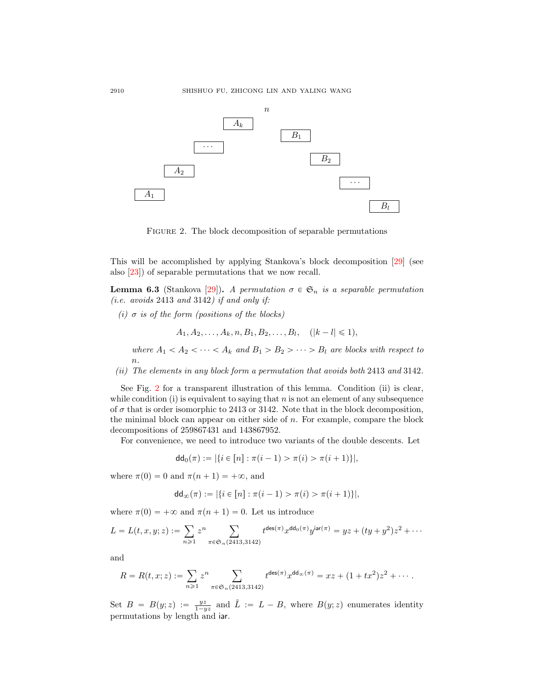

<span id="page-33-0"></span>FIGURE 2. The block decomposition of separable permutations

This will be accomplished by applying Stankova's block decomposition [\[29\]](#page-36-22) (see also [\[23\]](#page-36-12)) of separable permutations that we now recall.

<span id="page-33-1"></span>**Lemma 6.3** (Stankova [\[29\]](#page-36-22)). A permutation  $\sigma \in \mathfrak{S}_n$  is a separable permutation (*i.e. avoids*  $2413$  *and*  $3142$ *) if and only if:* 

(i)  $\sigma$  is of the form (positions of the blocks)

 $A_1, A_2, \ldots, A_k, n, B_1, B_2, \ldots, B_l, \quad (|k-l| \leq 1),$ 

where  $A_1 < A_2 < \cdots < A_k$  and  $B_1 > B_2 > \cdots > B_l$  are blocks with respect to n.

(ii) The elements in any block form a permutation that avoids both 2413 and 3142.

See Fig. [2](#page-33-0) for a transparent illustration of this lemma. Condition (ii) is clear, while condition  $(i)$  is equivalent to saying that n is not an element of any subsequence of  $\sigma$  that is order isomorphic to 2413 or 3142. Note that in the block decomposition, the minimal block can appear on either side of n. For example, compare the block decompositions of 259867431 and 143867952.

For convenience, we need to introduce two variants of the double descents. Let

$$
dd_0(\pi) := |\{i \in [n] : \pi(i-1) > \pi(i) > \pi(i+1)\}|,
$$

where  $\pi(0) = 0$  and  $\pi(n + 1) = +\infty$ , and

$$
dd_{\infty}(\pi) := |\{i \in [n] : \pi(i-1) > \pi(i) > \pi(i+1)\}|,
$$

where  $\pi(0) = +\infty$  and  $\pi(n + 1) = 0$ . Let us introduce

$$
L = L(t, x, y; z) := \sum_{n \geq 1} z^n \sum_{\pi \in \mathfrak{S}_n(2413, 3142)} t^{\mathsf{des}(\pi)} x^{\mathsf{dd}_0(\pi)} y^{\mathsf{iar}(\pi)} = yz + (ty + y^2)z^2 + \cdots
$$

and

$$
R = R(t, x; z) := \sum_{n \geq 1} z^n \sum_{\pi \in \mathfrak{S}_n(2413, 3142)} t^{\deg(\pi)} x^{\deg(\pi)} = xz + (1 + tx^2)z^2 + \cdots.
$$

Set  $B = B(y; z) := \frac{yz}{1 - yz}$  and  $\tilde{L} := L - B$ , where  $B(y; z)$  enumerates identity permutations by length and iar.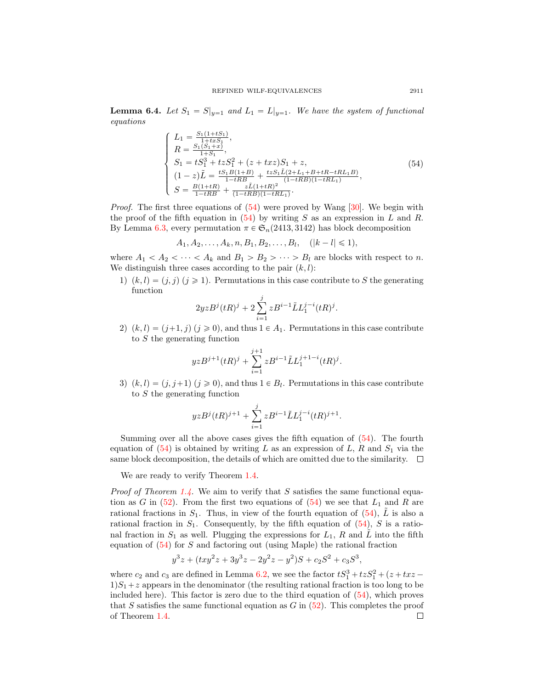**Lemma 6.4.** Let  $S_1 = S|_{y=1}$  and  $L_1 = L|_{y=1}$ . We have the system of functional equations

<span id="page-34-0"></span>
$$
\begin{cases}\nL_1 = \frac{S_1(1+tS_1)}{1+txS_1}, \\
R = \frac{S_1(S_1+x)}{1+S_1}, \\
S_1 = tS_1^3 + tzS_1^2 + (z+txz)S_1 + z, \\
(1-z)\tilde{L} = \frac{tS_1B(1+B)}{1-tRB} + \frac{tzS_1\tilde{L}(2+L_1+B+tR-tRL_1B)}{(1-tRB)(1-tRL_1)}, \\
S = \frac{B(1+tR)}{1-tRB} + \frac{z\tilde{L}(1+tR)^2}{(1-tRB)(1-tRL_1)}.\n\end{cases}
$$
\n(54)

*Proof.* The first three equations of  $(54)$  were proved by Wang [\[30\]](#page-36-14). We begin with the proof of the fifth equation in  $(54)$  by writing S as an expression in L and R. By Lemma [6.3,](#page-33-1) every permutation  $\pi \in \mathfrak{S}_n(2413, 3142)$  has block decomposition

$$
A_1, A_2, \ldots, A_k, n, B_1, B_2, \ldots, B_l, \quad (|k-l| \leq 1),
$$

where  $A_1 < A_2 < \cdots < A_k$  and  $B_1 > B_2 > \cdots > B_l$  are blocks with respect to n. We distinguish three cases according to the pair  $(k, l)$ :

1)  $(k, l) = (j, j)(j \ge 1)$ . Permutations in this case contribute to S the generating function

$$
2yzB^{j}(tR)^{j} + 2\sum_{i=1}^{j}zB^{i-1}\tilde{L}L_{1}^{j-i}(tR)^{j}.
$$

2)  $(k, l) = (j+1, j)$   $(j \ge 0)$ , and thus  $1 \in A_1$ . Permutations in this case contribute to S the generating function

$$
yzB^{j+1}(tR)^{j} + \sum_{i=1}^{j+1} zB^{i-1} \tilde{L}L_1^{j+1-i}(tR)^{j}.
$$

3)  $(k, l) = (j, j+1)$   $(j \ge 0)$ , and thus  $1 \in B_l$ . Permutations in this case contribute to S the generating function

$$
yzB^j(tR)^{j+1}+\sum_{i=1}^j zB^{i-1}\tilde{L}L_1^{j-i}(tR)^{j+1}.
$$

Summing over all the above cases gives the fifth equation of  $(54)$ . The fourth equation of  $(54)$  is obtained by writing L as an expression of L, R and  $S_1$  via the same block decomposition, the details of which are omitted due to the similarity.  $\Box$ 

We are ready to verify Theorem [1.4.](#page-4-1)

*Proof of Theorem [1.4.](#page-4-1)* We aim to verify that  $S$  satisfies the same functional equation as G in  $(52)$ . From the first two equations of  $(54)$  we see that  $L_1$  and R are rational fractions in  $S_1$ . Thus, in view of the fourth equation of [\(54\)](#page-34-0),  $\tilde{L}$  is also a rational fraction in  $S_1$ . Consequently, by the fifth equation of  $(54)$ , S is a rational fraction in  $S_1$  as well. Plugging the expressions for  $L_1$ , R and L into the fifth equation of  $(54)$  for S and factoring out (using Maple) the rational fraction

$$
y^3z + (txy^2z + 3y^3z - 2y^2z - y^2)S + c_2S^2 + c_3S^3,
$$

where  $c_2$  and  $c_3$  are defined in Lemma [6.2,](#page-31-4) we see the factor  $tS_1^3 + tzS_1^2 + (z + tx 1\,S_1 + z$  appears in the denominator (the resulting rational fraction is too long to be included here). This factor is zero due to the third equation of  $(54)$ , which proves that S satisfies the same functional equation as  $G$  in  $(52)$ . This completes the proof of Theorem [1.4.](#page-4-1) $\Box$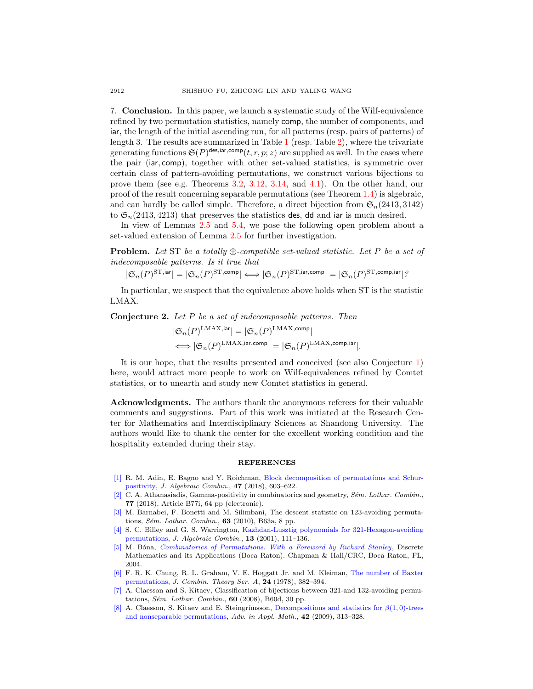7. Conclusion. In this paper, we launch a systematic study of the Wilf-equivalence refined by two permutation statistics, namely comp, the number of components, and iar, the length of the initial ascending run, for all patterns (resp. pairs of patterns) of length 3. The results are summarized in Table [1](#page-9-1) (resp. Table [2\)](#page-21-0), where the trivariate generating functions  $\mathfrak{S}(P)^{\text{des}, \text{iar}, \text{comp}}(t, r, p; z)$  are supplied as well. In the cases where the pair (iar, comp), together with other set-valued statistics, is symmetric over certain class of pattern-avoiding permutations, we construct various bijections to prove them (see e.g. Theorems [3.2,](#page-10-0) [3.12,](#page-16-0) [3.14,](#page-17-1) and [4.1\)](#page-20-1). On the other hand, our proof of the result concerning separable permutations (see Theorem [1.4\)](#page-4-1) is algebraic, and can hardly be called simple. Therefore, a direct bijection from  $\mathfrak{S}_n(2413, 3142)$ to  $\mathfrak{S}_n(2413, 4213)$  that preserves the statistics des, dd and iar is much desired.

In view of Lemmas [2.5](#page-7-0) and [5.4,](#page-26-3) we pose the following open problem about a set-valued extension of Lemma [2.5](#page-7-0) for further investigation.

**Problem.** Let ST be a totally  $\oplus$ -compatible set-valued statistic. Let P be a set of indecomposable patterns. Is it true that

 $|\mathfrak{S}_n(P)^{\mathrm{ST},\mathsf{iar}}|=|\mathfrak{S}_n(P)^{\mathrm{ST},\mathsf{comp}}|\Longleftrightarrow|\mathfrak{S}_n(P)^{\mathrm{ST},\mathsf{iar},\mathsf{comp}}|=|\mathfrak{S}_n(P)^{\mathrm{ST},\mathsf{comp},\mathsf{iar}}|\,?$ 

In particular, we suspect that the equivalence above holds when ST is the statistic LMAX.

Conjecture 2. Let P be a set of indecomposable patterns. Then

$$
|\mathfrak{S}_n(P)^{\text{LMAX},\text{iar}}| = |\mathfrak{S}_n(P)^{\text{LMAX},\text{comp}}|
$$
  

$$
\Longleftrightarrow |\mathfrak{S}_n(P)^{\text{LMAX},\text{iar},\text{comp}}| = |\mathfrak{S}_n(P)^{\text{LMAX},\text{comp},\text{iar}}|.
$$

It is our hope, that the results presented and conceived (see also Conjecture [1\)](#page-27-0) here, would attract more people to work on Wilf-equivalences refined by Comtet statistics, or to unearth and study new Comtet statistics in general.

Acknowledgments. The authors thank the anonymous referees for their valuable comments and suggestions. Part of this work was initiated at the Research Center for Mathematics and Interdisciplinary Sciences at Shandong University. The authors would like to thank the center for the excellent working condition and the hospitality extended during their stay.

#### **REFERENCES**

- <span id="page-35-2"></span>[\[1\]](http://www.ams.org/mathscinet-getitem?mr=MR3813642&return=pdf) R. M. Adin, E. Bagno and Y. Roichman, [Block decomposition of permutations and Schur](http://dx.doi.org/10.1007/s10801-017-0788-9)[positivity,](http://dx.doi.org/10.1007/s10801-017-0788-9) J. Algebraic Combin., 47 (2018), 603–622.
- <span id="page-35-4"></span>[\[2\]](http://www.ams.org/mathscinet-getitem?mr=MR3878174&return=pdf) C. A. Athanasiadis, Gamma-positivity in combinatorics and geometry,  $S\acute{e}m$ . Lothar. Combin., 77 (2018), Article B77i, 64 pp (electronic).
- <span id="page-35-6"></span>[\[3\]](http://www.ams.org/mathscinet-getitem?mr=MR2734029&return=pdf) M. Barnabei, F. Bonetti and M. Silimbani, The descent statistic on 123-avoiding permutations, Sém. Lothar. Combin.,  $63$  (2010), B63a, 8 pp.
- <span id="page-35-5"></span>[\[4\]](http://www.ams.org/mathscinet-getitem?mr=MR1826948&return=pdf) S. C. Billey and G. S. Warrington, [Kazhdan-Lusztig polynomials for 321-Hexagon-avoiding](http://dx.doi.org/10.1023/A:1011279130416) [permutations,](http://dx.doi.org/10.1023/A:1011279130416) J. Algebraic Combin., 13 (2001), 111–136.
- <span id="page-35-0"></span>[\[5\]](http://www.ams.org/mathscinet-getitem?mr=MR2078910&return=pdf) M. Bóna, *[Combinatorics of Permutations. With a Foreword by Richard Stanley](http://dx.doi.org/10.1201/9780203494370)*, Discrete Mathematics and its Applications (Boca Raton). Chapman & Hall/CRC, Boca Raton, FL, 2004.
- <span id="page-35-7"></span>[\[6\]](http://www.ams.org/mathscinet-getitem?mr=MR491652&return=pdf) F. R. K. Chung, R. L. Graham, V. E. Hoggatt Jr. and M. Kleiman, [The number of Baxter](http://dx.doi.org/10.1016/0097-3165(78)90068-7) [permutations,](http://dx.doi.org/10.1016/0097-3165(78)90068-7) J. Combin. Theory Ser. A, 24 (1978), 382–394.
- <span id="page-35-1"></span>[\[7\]](http://www.ams.org/mathscinet-getitem?mr=MR2465405&return=pdf) A. Claesson and S. Kitaev, Classification of bijections between 321-and 132-avoiding permutations, Sém. Lothar. Combin.,  $60$  (2008), B60d, 30 pp.
- <span id="page-35-3"></span>[\[8\]](http://www.ams.org/mathscinet-getitem?mr=MR2502604&return=pdf) A. Claesson, S. Kitaev and E. Steingrímsson, [Decompositions and statistics for](http://dx.doi.org/10.1016/j.aam.2008.09.001)  $\beta(1,0)$ -trees [and nonseparable permutations,](http://dx.doi.org/10.1016/j.aam.2008.09.001) Adv. in Appl. Math., 42 (2009), 313–328.